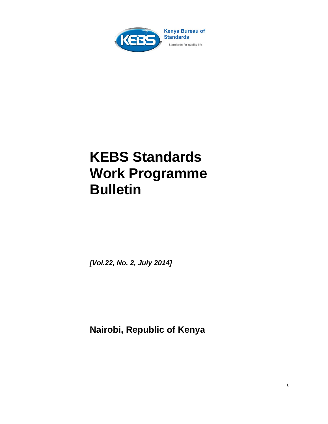

# **KEBS Standards Work Programme Bulletin**

*[Vol.22, No. 2, July 2014]* 

 **Nairobi, Republic of Kenya**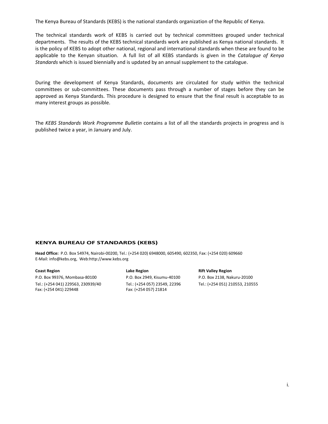The Kenya Bureau of Standards (KEBS) is the national standards organization of the Republic of Kenya.

The technical standards work of KEBS is carried out by technical committees grouped under technical departments. The results of the KEBS technical standards work are published as Kenya national standards. It is the policy of KEBS to adopt other national, regional and international standards when these are found to be applicable to the Kenyan situation. A full list of all KEBS standards is given in the *Catalogue of Kenya Standards* which is issued biennially and is updated by an annual supplement to the catalogue.

During the development of Kenya Standards, documents are circulated for study within the technical committees or sub-committees. These documents pass through a number of stages before they can be approved as Kenya Standards. This procedure is designed to ensure that the final result is acceptable to as many interest groups as possible.

The *KEBS Standards Work Programme Bulletin* contains a list of all the standards projects in progress and is published twice a year, in January and July.

#### **KENYA BUREAU OF STANDARDS (KEBS)**

**Head Office:** P.O. Box 54974, Nairobi‐00200, Tel.: (+254 020) 6948000, 605490, 602350, Fax: (+254 020) 609660 E‐Mail: info@kebs.org, Web:http://www.kebs.org

| <b>Coast Region</b>                | Lake Region                   | <b>Rift Valley Region</b> |
|------------------------------------|-------------------------------|---------------------------|
| P.O. Box 99376. Mombasa-80100      | P.O. Box 2949. Kisumu-40100   | P.O. Box 2138, Nak        |
| Tel.: (+254 041) 229563, 230939/40 | Tel.: (+254 057) 23549. 22396 | Tel.: (+254 051) 21       |
| Fax: (+254 041) 229448             | Fax: (+254 057) 21814         |                           |

P.O. Box 2949, Kisumu-40100 P.O. Box 2138, Nakuru-20100 Fax: (+254 057) 21814

Tel.: (+254 057) 23549, 22396 Tel.: (+254 051) 210553, 210555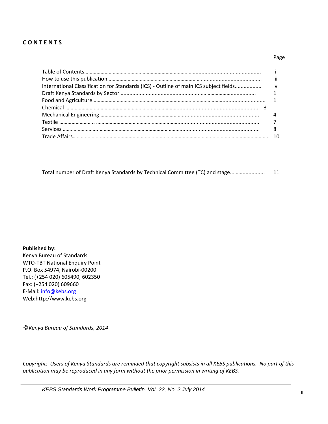#### **C O N T E N T S**

#### **Page** of the contract of the contract of the contract of the contract of the contract of the contract of the contract of the contract of the contract of the contract of the contract of the contract of the contract of the

|                                                                                       | $\cdots$<br>Ш |
|---------------------------------------------------------------------------------------|---------------|
| International Classification for Standards (ICS) - Outline of main ICS subject fields | iv            |
|                                                                                       |               |
|                                                                                       |               |
|                                                                                       |               |
|                                                                                       |               |
|                                                                                       |               |
|                                                                                       |               |
|                                                                                       |               |

|  | Total number of Draft Kenya Standards by Technical Committee (TC) and stage | ᆠ |
|--|-----------------------------------------------------------------------------|---|
|--|-----------------------------------------------------------------------------|---|

#### **Published by:**

Kenya Bureau of Standards WTO‐TBT National Enquiry Point P.O. Box 54974, Nairobi‐00200 Tel.: (+254 020) 605490, 602350 Fax: (+254 020) 609660 E‐Mail: info@kebs.org Web:http://www.kebs.org

*© Kenya Bureau of Standards, 2014*

Copyright: Users of Kenya Standards are reminded that copyright subsists in all KEBS publications. No part of this *publication may be reproduced in any form without the prior permission in writing of KEBS.*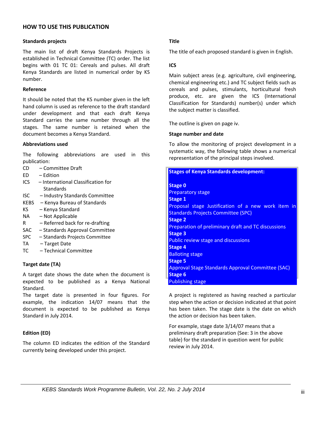#### **HOW TO USE THIS PUBLICATION**

#### **Standards projects**

The main list of draft Kenya Standards Projects is established in Technical Committee (TC) order. The list begins with 01 TC 01: Cereals and pulses. All draft Kenya Standards are listed in numerical order by KS number.

#### **Reference**

It should be noted that the KS number given in the left hand column is used as reference to the draft standard under development and that each draft Kenya Standard carries the same number through all the stages. The same number is retained when the document becomes a Kenya Standard.

#### **Abbreviations used**

The following abbreviations are used in this publication:

- CD Committee Draft
- ED Edition
- ICS International Classification for **Standards**
- ISC Industry Standards Committee
- KEBS Kenya Bureau of Standards
- KS – Kenya Standard
- NA Not Applicable
- R Referred back for re‐drafting
- SAC – Standards Approval Committee
- SPC Standards Projects Committee
- TA – Target Date
- TC – Technical Committee

#### **Target date (TA)**

A target date shows the date when the document is expected to be published as a Kenya National Standard.

The target date is presented in four figures. For example, the indication 14/07 means that the document is expected to be published as Kenya Standard in July 2014.

#### **Edition (ED)**

The column ED indicates the edition of the Standard currently being developed under this project.

#### **Title**

The title of each proposed standard is given in English.

#### **ICS**

Main subject areas (e.g. agriculture, civil engineering, chemical engineering etc.) and TC subject fields such as cereals and pulses, stimulants, horticultural fresh produce, etc. are given the ICS (International Classification for Standards) number(s) under which the subject matter is classified.

The outline is given on page iv.

#### **Stage number and date**

To allow the monitoring of project development in a systematic way, the following table shows a numerical representation of the principal steps involved.

| <b>Stages of Kenya Standards development:</b>              |
|------------------------------------------------------------|
| <b>Stage 0</b>                                             |
| <b>Preparatory stage</b>                                   |
| Stage 1                                                    |
| Proposal stage Justification of a new work item in         |
| <b>Standards Projects Committee (SPC)</b>                  |
| <b>Stage 2</b>                                             |
| <b>Preparation of preliminary draft and TC discussions</b> |
| <b>Stage 3</b>                                             |
| <b>Public review stage and discussions</b>                 |
| <b>Stage 4</b>                                             |
| <b>Balloting stage</b>                                     |
| <b>Stage 5</b>                                             |
| Approval Stage Standards Approval Committee (SAC)          |
| <b>Stage 6</b>                                             |
| <b>Publishing stage</b>                                    |

A project is registered as having reached a particular step when the action or decision indicated at that point has been taken. The stage date is the date on which the action or decision has been taken.

For example, stage date 3/14/07 means that a preliminary draft preparation (See: 3 in the above table) for the standard in question went for public review in July 2014.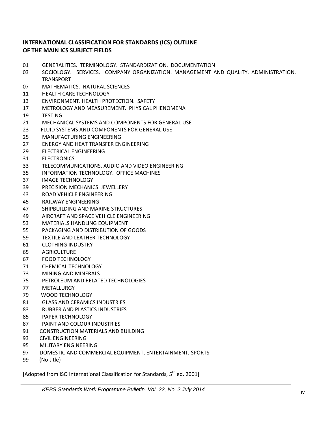### **INTERNATIONAL CLASSIFICATION FOR STANDARDS (ICS) OUTLINE OF THE MAIN ICS SUBJECT FIELDS**

- GENERALITIES. TERMINOLOGY. STANDARDIZATION. DOCUMENTATION
- 03 SOCIOLOGY. SERVICES. COMPANY ORGANIZATION. MANAGEMENT AND QUALITY. ADMINISTRATION. TRANSPORT
- MATHEMATICS. NATURAL SCIENCES
- HEALTH CARE TECHNOLOGY
- ENVIRONMENT. HEALTH PROTECTION. SAFETY
- METROLOGY AND MEASUREMENT. PHYSICAL PHENOMENA
- TESTING
- MECHANICAL SYSTEMS AND COMPONENTS FOR GENERAL USE
- FLUID SYSTEMS AND COMPONENTS FOR GENERAL USE
- MANUFACTURING ENGINEERING
- ENERGY AND HEAT TRANSFER ENGINEERING
- ELECTRICAL ENGINEERING
- ELECTRONICS
- TELECOMMUNICATIONS, AUDIO AND VIDEO ENGINEERING
- INFORMATION TECHNOLOGY. OFFICE MACHINES
- IMAGE TECHNOLOGY
- PRECISION MECHANICS. JEWELLERY
- ROAD VEHICLE ENGINEERING
- RAILWAY ENGINEERING
- SHIPBUILDING AND MARINE STRUCTURES
- AIRCRAFT AND SPACE VEHICLE ENGINEERING
- MATERIALS HANDLING EQUIPMENT
- PACKAGING AND DISTRIBUTION OF GOODS
- TEXTILE AND LEATHER TECHNOLOGY
- CLOTHING INDUSTRY
- AGRICULTURE
- FOOD TECHNOLOGY
- CHEMICAL TECHNOLOGY
- MINING AND MINERALS
- PETROLEUM AND RELATED TECHNOLOGIES
- METALLURGY
- WOOD TECHNOLOGY
- GLASS AND CERAMICS INDUSTRIES
- RUBBER AND PLASTICS INDUSTRIES
- PAPER TECHNOLOGY
- PAINT AND COLOUR INDUSTRIES
- CONSTRUCTION MATERIALS AND BUILDING
- CIVIL ENGINEERING
- MILITARY ENGINEERING
- DOMESTIC AND COMMERCIAL EQUIPMENT, ENTERTAINMENT, SPORTS
- (No title)

[Adopted from ISO International Classification for Standards, 5<sup>th</sup> ed. 2001]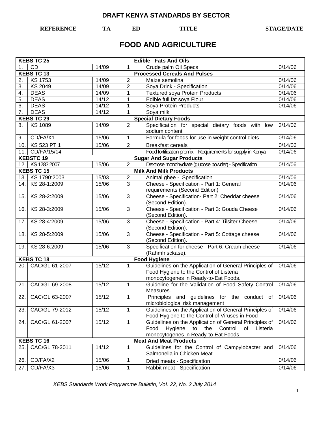**REFERENCE TA ED TITLE STAGE/DATE** 

# **FOOD AND AGRICULTURE**

|     | <b>KEBS TC 25</b><br><b>Edible Fats And Oils</b> |       |                |                                                                                                                                                         |         |  |
|-----|--------------------------------------------------|-------|----------------|---------------------------------------------------------------------------------------------------------------------------------------------------------|---------|--|
| 1.  | CD                                               | 14/09 | 1              | Crude palm Oil Specs                                                                                                                                    | 0/14/06 |  |
|     | <b>KEBS TC 13</b>                                |       |                | <b>Processed Cereals And Pulses</b>                                                                                                                     |         |  |
| 2.  | <b>KS1753</b>                                    | 14/09 | 2              | Maize semolina                                                                                                                                          | 0/14/06 |  |
| 3.  | <b>KS 2049</b>                                   | 14/09 | $\overline{2}$ | Soya Drink - Specification                                                                                                                              | 0/14/06 |  |
| 4.  | <b>DEAS</b>                                      | 14/09 | $\mathbf{1}$   | <b>Textured soya Protein Products</b>                                                                                                                   | 0/14/06 |  |
| 5.  | <b>DEAS</b>                                      | 14/12 | 1              | Edible full fat soya Flour                                                                                                                              | 0/14/06 |  |
| 6.  | <b>DEAS</b>                                      | 14/12 | 1              | Soya Protein Products                                                                                                                                   | 0/14/06 |  |
| 7.  | <b>DEAS</b>                                      | 14/12 | 1              | Soya milk                                                                                                                                               |         |  |
|     | <b>KEBS TC 29</b>                                |       |                | <b>Special Dietary Foods</b>                                                                                                                            |         |  |
| 8.  | <b>KS 1089</b>                                   | 14/09 | $\overline{2}$ | Specification for special dietary foods with low<br>sodium content                                                                                      | 3/14/06 |  |
| 9.  | CD/FA/X1                                         | 15/06 | $\mathbf{1}$   | Formula for foods for use in weight control diets                                                                                                       | 0/14/06 |  |
|     | 10. KS 523 PT 1                                  | 15/06 | $\overline{2}$ | <b>Breakfast cereals</b>                                                                                                                                | 0/14/06 |  |
|     | 11. CD/FA/15/14                                  |       |                | Food fortification premix - Requirements for supply in Kenya                                                                                            | 0/14/06 |  |
|     | <b>KEBSTC 19</b>                                 |       |                | <b>Sugar And Sugar Products</b>                                                                                                                         |         |  |
|     | 12. KS 1283:2007                                 | 15/06 | 2              | Dextrose monohydrate (glucose powder) - Specification                                                                                                   | 0/14/06 |  |
|     | <b>KEBS TC 15</b>                                |       |                | <b>Milk And Milk Products</b>                                                                                                                           |         |  |
|     | 13. KS 1790:2003                                 | 15/03 | 2              | Animal ghee - Specification                                                                                                                             | 0/14/06 |  |
|     | 14. KS 28-1:2009                                 | 15/06 | 3              | Cheese - Specification - Part 1: General                                                                                                                | 0/14/06 |  |
|     |                                                  |       |                | requirements (Second Edition)                                                                                                                           |         |  |
| 15. | KS 28-2:2009                                     | 15/06 | 3              | Cheese - Specification- Part 2: Cheddar cheese<br>(Second Edition).                                                                                     | 0/14/06 |  |
| 16. | KS 28-3:2009                                     | 15/06 | 3              | Cheese - Specification - Part 3: Gouda Cheese<br>(Second Edition).                                                                                      | 0/14/06 |  |
| 17. | KS 28-4:2009                                     | 15/06 | 3              | Cheese - Specification - Part 4: Tilsiter Cheese<br>(Second Edition).                                                                                   | 0/14/06 |  |
| 18. | KS 28-5:2009                                     | 15/06 | 3              | Cheese - Specification - Part 5: Cottage cheese<br>(Second Edition).                                                                                    | 0/14/06 |  |
| 19. | KS 28-6:2009                                     | 15/06 | 3              | Specification for cheese - Part 6: Cream cheese<br>(Rahmfrisckase).                                                                                     | 0/14/06 |  |
|     | <b>KEBS TC 18</b>                                |       |                | <b>Food Hygiene</b>                                                                                                                                     |         |  |
|     | 20. CAC/GL 61-2007 -                             | 15/12 | $\mathbf{1}$   | Guidelines on the Application of General Principles of<br>Food Hygiene to the Control of Listeria<br>monocytogenes in Ready-to-Eat Foods.               | 0/14/06 |  |
| 21. | CAC/GL 69-2008                                   | 15/12 | $\mathbf{1}$   | Guideline for the Validation of Food Safety Control<br>Measures.                                                                                        | 0/14/06 |  |
|     | 22. CAC/GL 63-2007                               | 15/12 | 1              | Principles and guidelines for the conduct of 0/14/06<br>microbiological risk management                                                                 |         |  |
| 23. | CAC/GL 79-2012                                   | 15/12 | 1              | Guidelines on the Application of General Principles of<br>Food Hygiene to the Control of Viruses in Food                                                | 0/14/06 |  |
| 24. | CAC/GL 61-2007                                   | 15/12 | 1              | Guidelines on the Application of General Principles of<br>the Control<br>Food<br>Hygiene<br>to<br>of<br>Listeria<br>monocytogenes in Ready-to-Eat Foods | 0/14/06 |  |
|     | <b>KEBS TC 16</b>                                |       |                | <b>Meat And Meat Products</b>                                                                                                                           |         |  |
| 25. | CAC/GL 78-2011                                   | 14/12 | 1              | Guidelines for the Control of Campylobacter and<br>Salmonella in Chicken Meat                                                                           | 0/14/06 |  |
| 26. | CD/FA/X2                                         | 15/06 | 1              | Dried meats - Specification                                                                                                                             | 0/14/06 |  |
| 27. | CD/FA/X3                                         | 15/06 | 1              | Rabbit meat - Specification                                                                                                                             | 0/14/06 |  |
|     |                                                  |       |                |                                                                                                                                                         |         |  |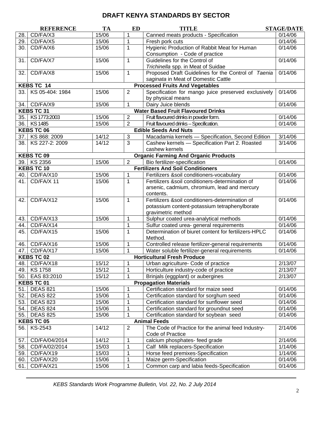| CD/FA/X3<br>15/06<br>Canned meats products - Specification<br>0/14/06<br>28.<br>1<br>$\mathbf{1}$<br>0/14/06<br>29.<br>CD/FA/X5<br>15/06<br>Fresh pork cuts<br>Hygienic Production of Rabbit Meat for Human<br>0/14/06<br>30.<br>CD/FA/X6<br>15/06<br>1<br>Consumption - Code of practice<br>CD/FA/X7<br>0/14/06<br>15/06<br>$\mathbf{1}$<br>Guidelines for the Control of<br>31.<br>Trichinella spp. in Meat of Suidae<br>CD/FA/X8<br>$\mathbf{1}$<br>Proposed Draft Guidelines for the Control of Taenia<br>0/14/06<br>15/06<br>32.<br>saginata in Meat of Domestic Cattle<br>KEBS TC 14<br><b>Processed Fruits And Vegetables</b><br>$\overline{2}$<br>0/14/06<br>KS 05-404: 1984<br>15/06<br>Specification for mango juice preserved exclusively<br>33.1<br>by physical means<br>CD/FA/X9<br>15/06<br>$\mathbf 1$<br>0/14/06<br>Dairy Juice blends<br>34.<br><b>KEBS TC 31</b><br><b>Water Based Fruit Flavoured Drinks</b><br>35. KS 1773:2003<br>15/06<br>$\overline{2}$<br>Fruit flavoured drinks in powder form.<br>0/14/06<br>$\overline{2}$<br>36. KS 1485<br>15/06<br>Fruit flavoured drinks - Specification.<br>0/14/06<br><b>KEBS TC 06</b><br><b>Edible Seeds And Nuts</b><br>37. KS 868: 2009<br>14/12<br>3<br>Macadamia kernels - Specification, Second Edition<br>3/14/06<br>KS 227-2: 2009<br>3<br>14/12<br>Cashew kernels - Specification Part 2. Roasted<br>3/14/06<br>38.<br>cashew kernels<br><b>KEBS TC 09</b><br><b>Organic Farming And Organic Products</b><br>39. KS 2356<br>$\overline{2}$<br>15/06<br>Bio fertilizer-specification<br>0/14/06<br><b>KEBS TC 10</b><br><b>Fertilizers And Soil Conditioners</b><br>40. CD/FA/X10<br>15/06<br>$\mathbf 1$<br>Fertilizers &soil conditioners-vocabulary<br>0/14/06<br>$\mathbf{1}$<br>CD/FA/X 11<br>15/06<br>Fertilizers &soil conditioners-determination of<br>0/14/06<br>41.<br>arsenic, cadmium, chromium, lead and mercury<br>contents.<br>Fertilizers &soil conditioners-determination of<br>CD/FA/X12<br>15/06<br>0/14/06<br>42.<br>1<br>potassium content-potassium tetraphenylborate<br>gravimetric method<br>CD/FA/X13<br>Sulphur coated urea-analytical methods<br>0/14/06<br>15/06<br>43.<br>1<br>Sulfur coated urea- general requirements<br>CD/FA/X14<br>0/14/06<br>44.<br>1<br>Determination of biuret content for fertilizers-HPLC<br>CD/FA/X15<br>15/06<br>0/14/06<br>45.<br>1<br>Method.<br>CD/FA/X16<br>15/06<br>0/14/06<br>Controlled release fertilizer-general requirements<br>46.<br>1<br>CD/FA/X17<br>15/06<br>0/14/06<br>47.<br>1<br>Water soluble fertilizer-general requirements<br><b>KEBS TC 02</b><br><b>Horticultural Fresh Produce</b><br>15/12<br>48. CD/FA/X18<br>2/13/07<br>1<br>Urban agriculture- Code of practice<br>49. KS 1758<br>1<br>Horticulture industry-code of practice<br>2/13/07<br>15/12<br>15/12<br>2/13/07<br>EAS 83:2010<br>Brinjals (eggplant) or aubergines<br>50.<br>1<br><b>KEBS TC 01</b><br><b>Propagation Materials</b><br>Certification standard for maize seed<br><b>DEAS 821</b><br>15/06<br>1<br>0/14/06<br>51.<br>0/14/06<br>52.<br><b>DEAS 822</b><br>15/06<br>1<br>Certification standard for sorghum seed<br><b>DEAS 823</b><br>15/06<br>Certification standard for sunflower seed<br>0/14/06<br>53.<br>1<br><b>DEAS 824</b><br>15/06<br>Certification standard for groundnut seed<br>0/14/06<br>54.<br>1<br><b>DEAS 825</b><br>15/06<br>0/14/06<br>55.<br>1<br>Certification standard for soybean seed<br><b>KEBS TC 05</b><br><b>Animal Feeds</b><br>KS-2543<br>14/12<br>$\overline{2}$<br>The Code of Practice for the animal feed Industry-<br>2/14/06<br>56.<br>Code of Practice<br>14/12<br>2/14/06<br>CD/FA/04/2014<br>1<br>calcium phosphates- feed grade<br>57.<br>Calf Milk replacers-Specification<br>1/14/06<br>58.<br>CD/FA/02/2014<br>15/03<br>1<br>59.<br>CD/FA/X19<br>15/03<br>1/14/06<br>1<br>Horse feed premixes-Specification<br>60.<br>CD/FA/X20<br>15/06<br>0/14/06<br>1<br>Maize germ-Specification<br>CD/FA/X21<br>15/06<br>Common carp and labia feeds-Specification<br>0/14/06<br>61.<br>1 | <b>REFERENCE</b> | <b>TA</b> | <b>ED</b> | <b>TITLE</b> | <b>STAGE/DATE</b> |
|----------------------------------------------------------------------------------------------------------------------------------------------------------------------------------------------------------------------------------------------------------------------------------------------------------------------------------------------------------------------------------------------------------------------------------------------------------------------------------------------------------------------------------------------------------------------------------------------------------------------------------------------------------------------------------------------------------------------------------------------------------------------------------------------------------------------------------------------------------------------------------------------------------------------------------------------------------------------------------------------------------------------------------------------------------------------------------------------------------------------------------------------------------------------------------------------------------------------------------------------------------------------------------------------------------------------------------------------------------------------------------------------------------------------------------------------------------------------------------------------------------------------------------------------------------------------------------------------------------------------------------------------------------------------------------------------------------------------------------------------------------------------------------------------------------------------------------------------------------------------------------------------------------------------------------------------------------------------------------------------------------------------------------------------------------------------------------------------------------------------------------------------------------------------------------------------------------------------------------------------------------------------------------------------------------------------------------------------------------------------------------------------------------------------------------------------------------------------------------------------------------------------------------------------------------------------------------------------------------------------------------------------------------------------------------------------------------------------------------------------------------------------------------------------------------------------------------------------------------------------------------------------------------------------------------------------------------------------------------------------------------------------------------------------------------------------------------------------------------------------------------------------------------------------------------------------------------------------------------------------------------------------------------------------------------------------------------------------------------------------------------------------------------------------------------------------------------------------------------------------------------------------------------------------------------------------------------------------------------------------------------------------------------------------------------------------------------------------------------------------------------------------------------------------------------------------------------------------------------------------------------------------------------------------------------------------------------------------------------------------------------------------------------------------------------------|------------------|-----------|-----------|--------------|-------------------|
|                                                                                                                                                                                                                                                                                                                                                                                                                                                                                                                                                                                                                                                                                                                                                                                                                                                                                                                                                                                                                                                                                                                                                                                                                                                                                                                                                                                                                                                                                                                                                                                                                                                                                                                                                                                                                                                                                                                                                                                                                                                                                                                                                                                                                                                                                                                                                                                                                                                                                                                                                                                                                                                                                                                                                                                                                                                                                                                                                                                                                                                                                                                                                                                                                                                                                                                                                                                                                                                                                                                                                                                                                                                                                                                                                                                                                                                                                                                                                                                                                                                                |                  |           |           |              |                   |
|                                                                                                                                                                                                                                                                                                                                                                                                                                                                                                                                                                                                                                                                                                                                                                                                                                                                                                                                                                                                                                                                                                                                                                                                                                                                                                                                                                                                                                                                                                                                                                                                                                                                                                                                                                                                                                                                                                                                                                                                                                                                                                                                                                                                                                                                                                                                                                                                                                                                                                                                                                                                                                                                                                                                                                                                                                                                                                                                                                                                                                                                                                                                                                                                                                                                                                                                                                                                                                                                                                                                                                                                                                                                                                                                                                                                                                                                                                                                                                                                                                                                |                  |           |           |              |                   |
|                                                                                                                                                                                                                                                                                                                                                                                                                                                                                                                                                                                                                                                                                                                                                                                                                                                                                                                                                                                                                                                                                                                                                                                                                                                                                                                                                                                                                                                                                                                                                                                                                                                                                                                                                                                                                                                                                                                                                                                                                                                                                                                                                                                                                                                                                                                                                                                                                                                                                                                                                                                                                                                                                                                                                                                                                                                                                                                                                                                                                                                                                                                                                                                                                                                                                                                                                                                                                                                                                                                                                                                                                                                                                                                                                                                                                                                                                                                                                                                                                                                                |                  |           |           |              |                   |
|                                                                                                                                                                                                                                                                                                                                                                                                                                                                                                                                                                                                                                                                                                                                                                                                                                                                                                                                                                                                                                                                                                                                                                                                                                                                                                                                                                                                                                                                                                                                                                                                                                                                                                                                                                                                                                                                                                                                                                                                                                                                                                                                                                                                                                                                                                                                                                                                                                                                                                                                                                                                                                                                                                                                                                                                                                                                                                                                                                                                                                                                                                                                                                                                                                                                                                                                                                                                                                                                                                                                                                                                                                                                                                                                                                                                                                                                                                                                                                                                                                                                |                  |           |           |              |                   |
|                                                                                                                                                                                                                                                                                                                                                                                                                                                                                                                                                                                                                                                                                                                                                                                                                                                                                                                                                                                                                                                                                                                                                                                                                                                                                                                                                                                                                                                                                                                                                                                                                                                                                                                                                                                                                                                                                                                                                                                                                                                                                                                                                                                                                                                                                                                                                                                                                                                                                                                                                                                                                                                                                                                                                                                                                                                                                                                                                                                                                                                                                                                                                                                                                                                                                                                                                                                                                                                                                                                                                                                                                                                                                                                                                                                                                                                                                                                                                                                                                                                                |                  |           |           |              |                   |
|                                                                                                                                                                                                                                                                                                                                                                                                                                                                                                                                                                                                                                                                                                                                                                                                                                                                                                                                                                                                                                                                                                                                                                                                                                                                                                                                                                                                                                                                                                                                                                                                                                                                                                                                                                                                                                                                                                                                                                                                                                                                                                                                                                                                                                                                                                                                                                                                                                                                                                                                                                                                                                                                                                                                                                                                                                                                                                                                                                                                                                                                                                                                                                                                                                                                                                                                                                                                                                                                                                                                                                                                                                                                                                                                                                                                                                                                                                                                                                                                                                                                |                  |           |           |              |                   |
|                                                                                                                                                                                                                                                                                                                                                                                                                                                                                                                                                                                                                                                                                                                                                                                                                                                                                                                                                                                                                                                                                                                                                                                                                                                                                                                                                                                                                                                                                                                                                                                                                                                                                                                                                                                                                                                                                                                                                                                                                                                                                                                                                                                                                                                                                                                                                                                                                                                                                                                                                                                                                                                                                                                                                                                                                                                                                                                                                                                                                                                                                                                                                                                                                                                                                                                                                                                                                                                                                                                                                                                                                                                                                                                                                                                                                                                                                                                                                                                                                                                                |                  |           |           |              |                   |
|                                                                                                                                                                                                                                                                                                                                                                                                                                                                                                                                                                                                                                                                                                                                                                                                                                                                                                                                                                                                                                                                                                                                                                                                                                                                                                                                                                                                                                                                                                                                                                                                                                                                                                                                                                                                                                                                                                                                                                                                                                                                                                                                                                                                                                                                                                                                                                                                                                                                                                                                                                                                                                                                                                                                                                                                                                                                                                                                                                                                                                                                                                                                                                                                                                                                                                                                                                                                                                                                                                                                                                                                                                                                                                                                                                                                                                                                                                                                                                                                                                                                |                  |           |           |              |                   |
|                                                                                                                                                                                                                                                                                                                                                                                                                                                                                                                                                                                                                                                                                                                                                                                                                                                                                                                                                                                                                                                                                                                                                                                                                                                                                                                                                                                                                                                                                                                                                                                                                                                                                                                                                                                                                                                                                                                                                                                                                                                                                                                                                                                                                                                                                                                                                                                                                                                                                                                                                                                                                                                                                                                                                                                                                                                                                                                                                                                                                                                                                                                                                                                                                                                                                                                                                                                                                                                                                                                                                                                                                                                                                                                                                                                                                                                                                                                                                                                                                                                                |                  |           |           |              |                   |
|                                                                                                                                                                                                                                                                                                                                                                                                                                                                                                                                                                                                                                                                                                                                                                                                                                                                                                                                                                                                                                                                                                                                                                                                                                                                                                                                                                                                                                                                                                                                                                                                                                                                                                                                                                                                                                                                                                                                                                                                                                                                                                                                                                                                                                                                                                                                                                                                                                                                                                                                                                                                                                                                                                                                                                                                                                                                                                                                                                                                                                                                                                                                                                                                                                                                                                                                                                                                                                                                                                                                                                                                                                                                                                                                                                                                                                                                                                                                                                                                                                                                |                  |           |           |              |                   |
|                                                                                                                                                                                                                                                                                                                                                                                                                                                                                                                                                                                                                                                                                                                                                                                                                                                                                                                                                                                                                                                                                                                                                                                                                                                                                                                                                                                                                                                                                                                                                                                                                                                                                                                                                                                                                                                                                                                                                                                                                                                                                                                                                                                                                                                                                                                                                                                                                                                                                                                                                                                                                                                                                                                                                                                                                                                                                                                                                                                                                                                                                                                                                                                                                                                                                                                                                                                                                                                                                                                                                                                                                                                                                                                                                                                                                                                                                                                                                                                                                                                                |                  |           |           |              |                   |
|                                                                                                                                                                                                                                                                                                                                                                                                                                                                                                                                                                                                                                                                                                                                                                                                                                                                                                                                                                                                                                                                                                                                                                                                                                                                                                                                                                                                                                                                                                                                                                                                                                                                                                                                                                                                                                                                                                                                                                                                                                                                                                                                                                                                                                                                                                                                                                                                                                                                                                                                                                                                                                                                                                                                                                                                                                                                                                                                                                                                                                                                                                                                                                                                                                                                                                                                                                                                                                                                                                                                                                                                                                                                                                                                                                                                                                                                                                                                                                                                                                                                |                  |           |           |              |                   |
|                                                                                                                                                                                                                                                                                                                                                                                                                                                                                                                                                                                                                                                                                                                                                                                                                                                                                                                                                                                                                                                                                                                                                                                                                                                                                                                                                                                                                                                                                                                                                                                                                                                                                                                                                                                                                                                                                                                                                                                                                                                                                                                                                                                                                                                                                                                                                                                                                                                                                                                                                                                                                                                                                                                                                                                                                                                                                                                                                                                                                                                                                                                                                                                                                                                                                                                                                                                                                                                                                                                                                                                                                                                                                                                                                                                                                                                                                                                                                                                                                                                                |                  |           |           |              |                   |
|                                                                                                                                                                                                                                                                                                                                                                                                                                                                                                                                                                                                                                                                                                                                                                                                                                                                                                                                                                                                                                                                                                                                                                                                                                                                                                                                                                                                                                                                                                                                                                                                                                                                                                                                                                                                                                                                                                                                                                                                                                                                                                                                                                                                                                                                                                                                                                                                                                                                                                                                                                                                                                                                                                                                                                                                                                                                                                                                                                                                                                                                                                                                                                                                                                                                                                                                                                                                                                                                                                                                                                                                                                                                                                                                                                                                                                                                                                                                                                                                                                                                |                  |           |           |              |                   |
|                                                                                                                                                                                                                                                                                                                                                                                                                                                                                                                                                                                                                                                                                                                                                                                                                                                                                                                                                                                                                                                                                                                                                                                                                                                                                                                                                                                                                                                                                                                                                                                                                                                                                                                                                                                                                                                                                                                                                                                                                                                                                                                                                                                                                                                                                                                                                                                                                                                                                                                                                                                                                                                                                                                                                                                                                                                                                                                                                                                                                                                                                                                                                                                                                                                                                                                                                                                                                                                                                                                                                                                                                                                                                                                                                                                                                                                                                                                                                                                                                                                                |                  |           |           |              |                   |
|                                                                                                                                                                                                                                                                                                                                                                                                                                                                                                                                                                                                                                                                                                                                                                                                                                                                                                                                                                                                                                                                                                                                                                                                                                                                                                                                                                                                                                                                                                                                                                                                                                                                                                                                                                                                                                                                                                                                                                                                                                                                                                                                                                                                                                                                                                                                                                                                                                                                                                                                                                                                                                                                                                                                                                                                                                                                                                                                                                                                                                                                                                                                                                                                                                                                                                                                                                                                                                                                                                                                                                                                                                                                                                                                                                                                                                                                                                                                                                                                                                                                |                  |           |           |              |                   |
|                                                                                                                                                                                                                                                                                                                                                                                                                                                                                                                                                                                                                                                                                                                                                                                                                                                                                                                                                                                                                                                                                                                                                                                                                                                                                                                                                                                                                                                                                                                                                                                                                                                                                                                                                                                                                                                                                                                                                                                                                                                                                                                                                                                                                                                                                                                                                                                                                                                                                                                                                                                                                                                                                                                                                                                                                                                                                                                                                                                                                                                                                                                                                                                                                                                                                                                                                                                                                                                                                                                                                                                                                                                                                                                                                                                                                                                                                                                                                                                                                                                                |                  |           |           |              |                   |
|                                                                                                                                                                                                                                                                                                                                                                                                                                                                                                                                                                                                                                                                                                                                                                                                                                                                                                                                                                                                                                                                                                                                                                                                                                                                                                                                                                                                                                                                                                                                                                                                                                                                                                                                                                                                                                                                                                                                                                                                                                                                                                                                                                                                                                                                                                                                                                                                                                                                                                                                                                                                                                                                                                                                                                                                                                                                                                                                                                                                                                                                                                                                                                                                                                                                                                                                                                                                                                                                                                                                                                                                                                                                                                                                                                                                                                                                                                                                                                                                                                                                |                  |           |           |              |                   |
|                                                                                                                                                                                                                                                                                                                                                                                                                                                                                                                                                                                                                                                                                                                                                                                                                                                                                                                                                                                                                                                                                                                                                                                                                                                                                                                                                                                                                                                                                                                                                                                                                                                                                                                                                                                                                                                                                                                                                                                                                                                                                                                                                                                                                                                                                                                                                                                                                                                                                                                                                                                                                                                                                                                                                                                                                                                                                                                                                                                                                                                                                                                                                                                                                                                                                                                                                                                                                                                                                                                                                                                                                                                                                                                                                                                                                                                                                                                                                                                                                                                                |                  |           |           |              |                   |
|                                                                                                                                                                                                                                                                                                                                                                                                                                                                                                                                                                                                                                                                                                                                                                                                                                                                                                                                                                                                                                                                                                                                                                                                                                                                                                                                                                                                                                                                                                                                                                                                                                                                                                                                                                                                                                                                                                                                                                                                                                                                                                                                                                                                                                                                                                                                                                                                                                                                                                                                                                                                                                                                                                                                                                                                                                                                                                                                                                                                                                                                                                                                                                                                                                                                                                                                                                                                                                                                                                                                                                                                                                                                                                                                                                                                                                                                                                                                                                                                                                                                |                  |           |           |              |                   |
|                                                                                                                                                                                                                                                                                                                                                                                                                                                                                                                                                                                                                                                                                                                                                                                                                                                                                                                                                                                                                                                                                                                                                                                                                                                                                                                                                                                                                                                                                                                                                                                                                                                                                                                                                                                                                                                                                                                                                                                                                                                                                                                                                                                                                                                                                                                                                                                                                                                                                                                                                                                                                                                                                                                                                                                                                                                                                                                                                                                                                                                                                                                                                                                                                                                                                                                                                                                                                                                                                                                                                                                                                                                                                                                                                                                                                                                                                                                                                                                                                                                                |                  |           |           |              |                   |
|                                                                                                                                                                                                                                                                                                                                                                                                                                                                                                                                                                                                                                                                                                                                                                                                                                                                                                                                                                                                                                                                                                                                                                                                                                                                                                                                                                                                                                                                                                                                                                                                                                                                                                                                                                                                                                                                                                                                                                                                                                                                                                                                                                                                                                                                                                                                                                                                                                                                                                                                                                                                                                                                                                                                                                                                                                                                                                                                                                                                                                                                                                                                                                                                                                                                                                                                                                                                                                                                                                                                                                                                                                                                                                                                                                                                                                                                                                                                                                                                                                                                |                  |           |           |              |                   |
|                                                                                                                                                                                                                                                                                                                                                                                                                                                                                                                                                                                                                                                                                                                                                                                                                                                                                                                                                                                                                                                                                                                                                                                                                                                                                                                                                                                                                                                                                                                                                                                                                                                                                                                                                                                                                                                                                                                                                                                                                                                                                                                                                                                                                                                                                                                                                                                                                                                                                                                                                                                                                                                                                                                                                                                                                                                                                                                                                                                                                                                                                                                                                                                                                                                                                                                                                                                                                                                                                                                                                                                                                                                                                                                                                                                                                                                                                                                                                                                                                                                                |                  |           |           |              |                   |
|                                                                                                                                                                                                                                                                                                                                                                                                                                                                                                                                                                                                                                                                                                                                                                                                                                                                                                                                                                                                                                                                                                                                                                                                                                                                                                                                                                                                                                                                                                                                                                                                                                                                                                                                                                                                                                                                                                                                                                                                                                                                                                                                                                                                                                                                                                                                                                                                                                                                                                                                                                                                                                                                                                                                                                                                                                                                                                                                                                                                                                                                                                                                                                                                                                                                                                                                                                                                                                                                                                                                                                                                                                                                                                                                                                                                                                                                                                                                                                                                                                                                |                  |           |           |              |                   |
|                                                                                                                                                                                                                                                                                                                                                                                                                                                                                                                                                                                                                                                                                                                                                                                                                                                                                                                                                                                                                                                                                                                                                                                                                                                                                                                                                                                                                                                                                                                                                                                                                                                                                                                                                                                                                                                                                                                                                                                                                                                                                                                                                                                                                                                                                                                                                                                                                                                                                                                                                                                                                                                                                                                                                                                                                                                                                                                                                                                                                                                                                                                                                                                                                                                                                                                                                                                                                                                                                                                                                                                                                                                                                                                                                                                                                                                                                                                                                                                                                                                                |                  |           |           |              |                   |
|                                                                                                                                                                                                                                                                                                                                                                                                                                                                                                                                                                                                                                                                                                                                                                                                                                                                                                                                                                                                                                                                                                                                                                                                                                                                                                                                                                                                                                                                                                                                                                                                                                                                                                                                                                                                                                                                                                                                                                                                                                                                                                                                                                                                                                                                                                                                                                                                                                                                                                                                                                                                                                                                                                                                                                                                                                                                                                                                                                                                                                                                                                                                                                                                                                                                                                                                                                                                                                                                                                                                                                                                                                                                                                                                                                                                                                                                                                                                                                                                                                                                |                  |           |           |              |                   |
|                                                                                                                                                                                                                                                                                                                                                                                                                                                                                                                                                                                                                                                                                                                                                                                                                                                                                                                                                                                                                                                                                                                                                                                                                                                                                                                                                                                                                                                                                                                                                                                                                                                                                                                                                                                                                                                                                                                                                                                                                                                                                                                                                                                                                                                                                                                                                                                                                                                                                                                                                                                                                                                                                                                                                                                                                                                                                                                                                                                                                                                                                                                                                                                                                                                                                                                                                                                                                                                                                                                                                                                                                                                                                                                                                                                                                                                                                                                                                                                                                                                                |                  |           |           |              |                   |
|                                                                                                                                                                                                                                                                                                                                                                                                                                                                                                                                                                                                                                                                                                                                                                                                                                                                                                                                                                                                                                                                                                                                                                                                                                                                                                                                                                                                                                                                                                                                                                                                                                                                                                                                                                                                                                                                                                                                                                                                                                                                                                                                                                                                                                                                                                                                                                                                                                                                                                                                                                                                                                                                                                                                                                                                                                                                                                                                                                                                                                                                                                                                                                                                                                                                                                                                                                                                                                                                                                                                                                                                                                                                                                                                                                                                                                                                                                                                                                                                                                                                |                  |           |           |              |                   |
|                                                                                                                                                                                                                                                                                                                                                                                                                                                                                                                                                                                                                                                                                                                                                                                                                                                                                                                                                                                                                                                                                                                                                                                                                                                                                                                                                                                                                                                                                                                                                                                                                                                                                                                                                                                                                                                                                                                                                                                                                                                                                                                                                                                                                                                                                                                                                                                                                                                                                                                                                                                                                                                                                                                                                                                                                                                                                                                                                                                                                                                                                                                                                                                                                                                                                                                                                                                                                                                                                                                                                                                                                                                                                                                                                                                                                                                                                                                                                                                                                                                                |                  |           |           |              |                   |
|                                                                                                                                                                                                                                                                                                                                                                                                                                                                                                                                                                                                                                                                                                                                                                                                                                                                                                                                                                                                                                                                                                                                                                                                                                                                                                                                                                                                                                                                                                                                                                                                                                                                                                                                                                                                                                                                                                                                                                                                                                                                                                                                                                                                                                                                                                                                                                                                                                                                                                                                                                                                                                                                                                                                                                                                                                                                                                                                                                                                                                                                                                                                                                                                                                                                                                                                                                                                                                                                                                                                                                                                                                                                                                                                                                                                                                                                                                                                                                                                                                                                |                  |           |           |              |                   |
|                                                                                                                                                                                                                                                                                                                                                                                                                                                                                                                                                                                                                                                                                                                                                                                                                                                                                                                                                                                                                                                                                                                                                                                                                                                                                                                                                                                                                                                                                                                                                                                                                                                                                                                                                                                                                                                                                                                                                                                                                                                                                                                                                                                                                                                                                                                                                                                                                                                                                                                                                                                                                                                                                                                                                                                                                                                                                                                                                                                                                                                                                                                                                                                                                                                                                                                                                                                                                                                                                                                                                                                                                                                                                                                                                                                                                                                                                                                                                                                                                                                                |                  |           |           |              |                   |
|                                                                                                                                                                                                                                                                                                                                                                                                                                                                                                                                                                                                                                                                                                                                                                                                                                                                                                                                                                                                                                                                                                                                                                                                                                                                                                                                                                                                                                                                                                                                                                                                                                                                                                                                                                                                                                                                                                                                                                                                                                                                                                                                                                                                                                                                                                                                                                                                                                                                                                                                                                                                                                                                                                                                                                                                                                                                                                                                                                                                                                                                                                                                                                                                                                                                                                                                                                                                                                                                                                                                                                                                                                                                                                                                                                                                                                                                                                                                                                                                                                                                |                  |           |           |              |                   |
|                                                                                                                                                                                                                                                                                                                                                                                                                                                                                                                                                                                                                                                                                                                                                                                                                                                                                                                                                                                                                                                                                                                                                                                                                                                                                                                                                                                                                                                                                                                                                                                                                                                                                                                                                                                                                                                                                                                                                                                                                                                                                                                                                                                                                                                                                                                                                                                                                                                                                                                                                                                                                                                                                                                                                                                                                                                                                                                                                                                                                                                                                                                                                                                                                                                                                                                                                                                                                                                                                                                                                                                                                                                                                                                                                                                                                                                                                                                                                                                                                                                                |                  |           |           |              |                   |
|                                                                                                                                                                                                                                                                                                                                                                                                                                                                                                                                                                                                                                                                                                                                                                                                                                                                                                                                                                                                                                                                                                                                                                                                                                                                                                                                                                                                                                                                                                                                                                                                                                                                                                                                                                                                                                                                                                                                                                                                                                                                                                                                                                                                                                                                                                                                                                                                                                                                                                                                                                                                                                                                                                                                                                                                                                                                                                                                                                                                                                                                                                                                                                                                                                                                                                                                                                                                                                                                                                                                                                                                                                                                                                                                                                                                                                                                                                                                                                                                                                                                |                  |           |           |              |                   |
|                                                                                                                                                                                                                                                                                                                                                                                                                                                                                                                                                                                                                                                                                                                                                                                                                                                                                                                                                                                                                                                                                                                                                                                                                                                                                                                                                                                                                                                                                                                                                                                                                                                                                                                                                                                                                                                                                                                                                                                                                                                                                                                                                                                                                                                                                                                                                                                                                                                                                                                                                                                                                                                                                                                                                                                                                                                                                                                                                                                                                                                                                                                                                                                                                                                                                                                                                                                                                                                                                                                                                                                                                                                                                                                                                                                                                                                                                                                                                                                                                                                                |                  |           |           |              |                   |
|                                                                                                                                                                                                                                                                                                                                                                                                                                                                                                                                                                                                                                                                                                                                                                                                                                                                                                                                                                                                                                                                                                                                                                                                                                                                                                                                                                                                                                                                                                                                                                                                                                                                                                                                                                                                                                                                                                                                                                                                                                                                                                                                                                                                                                                                                                                                                                                                                                                                                                                                                                                                                                                                                                                                                                                                                                                                                                                                                                                                                                                                                                                                                                                                                                                                                                                                                                                                                                                                                                                                                                                                                                                                                                                                                                                                                                                                                                                                                                                                                                                                |                  |           |           |              |                   |
|                                                                                                                                                                                                                                                                                                                                                                                                                                                                                                                                                                                                                                                                                                                                                                                                                                                                                                                                                                                                                                                                                                                                                                                                                                                                                                                                                                                                                                                                                                                                                                                                                                                                                                                                                                                                                                                                                                                                                                                                                                                                                                                                                                                                                                                                                                                                                                                                                                                                                                                                                                                                                                                                                                                                                                                                                                                                                                                                                                                                                                                                                                                                                                                                                                                                                                                                                                                                                                                                                                                                                                                                                                                                                                                                                                                                                                                                                                                                                                                                                                                                |                  |           |           |              |                   |
|                                                                                                                                                                                                                                                                                                                                                                                                                                                                                                                                                                                                                                                                                                                                                                                                                                                                                                                                                                                                                                                                                                                                                                                                                                                                                                                                                                                                                                                                                                                                                                                                                                                                                                                                                                                                                                                                                                                                                                                                                                                                                                                                                                                                                                                                                                                                                                                                                                                                                                                                                                                                                                                                                                                                                                                                                                                                                                                                                                                                                                                                                                                                                                                                                                                                                                                                                                                                                                                                                                                                                                                                                                                                                                                                                                                                                                                                                                                                                                                                                                                                |                  |           |           |              |                   |
|                                                                                                                                                                                                                                                                                                                                                                                                                                                                                                                                                                                                                                                                                                                                                                                                                                                                                                                                                                                                                                                                                                                                                                                                                                                                                                                                                                                                                                                                                                                                                                                                                                                                                                                                                                                                                                                                                                                                                                                                                                                                                                                                                                                                                                                                                                                                                                                                                                                                                                                                                                                                                                                                                                                                                                                                                                                                                                                                                                                                                                                                                                                                                                                                                                                                                                                                                                                                                                                                                                                                                                                                                                                                                                                                                                                                                                                                                                                                                                                                                                                                |                  |           |           |              |                   |
|                                                                                                                                                                                                                                                                                                                                                                                                                                                                                                                                                                                                                                                                                                                                                                                                                                                                                                                                                                                                                                                                                                                                                                                                                                                                                                                                                                                                                                                                                                                                                                                                                                                                                                                                                                                                                                                                                                                                                                                                                                                                                                                                                                                                                                                                                                                                                                                                                                                                                                                                                                                                                                                                                                                                                                                                                                                                                                                                                                                                                                                                                                                                                                                                                                                                                                                                                                                                                                                                                                                                                                                                                                                                                                                                                                                                                                                                                                                                                                                                                                                                |                  |           |           |              |                   |
|                                                                                                                                                                                                                                                                                                                                                                                                                                                                                                                                                                                                                                                                                                                                                                                                                                                                                                                                                                                                                                                                                                                                                                                                                                                                                                                                                                                                                                                                                                                                                                                                                                                                                                                                                                                                                                                                                                                                                                                                                                                                                                                                                                                                                                                                                                                                                                                                                                                                                                                                                                                                                                                                                                                                                                                                                                                                                                                                                                                                                                                                                                                                                                                                                                                                                                                                                                                                                                                                                                                                                                                                                                                                                                                                                                                                                                                                                                                                                                                                                                                                |                  |           |           |              |                   |
|                                                                                                                                                                                                                                                                                                                                                                                                                                                                                                                                                                                                                                                                                                                                                                                                                                                                                                                                                                                                                                                                                                                                                                                                                                                                                                                                                                                                                                                                                                                                                                                                                                                                                                                                                                                                                                                                                                                                                                                                                                                                                                                                                                                                                                                                                                                                                                                                                                                                                                                                                                                                                                                                                                                                                                                                                                                                                                                                                                                                                                                                                                                                                                                                                                                                                                                                                                                                                                                                                                                                                                                                                                                                                                                                                                                                                                                                                                                                                                                                                                                                |                  |           |           |              |                   |
|                                                                                                                                                                                                                                                                                                                                                                                                                                                                                                                                                                                                                                                                                                                                                                                                                                                                                                                                                                                                                                                                                                                                                                                                                                                                                                                                                                                                                                                                                                                                                                                                                                                                                                                                                                                                                                                                                                                                                                                                                                                                                                                                                                                                                                                                                                                                                                                                                                                                                                                                                                                                                                                                                                                                                                                                                                                                                                                                                                                                                                                                                                                                                                                                                                                                                                                                                                                                                                                                                                                                                                                                                                                                                                                                                                                                                                                                                                                                                                                                                                                                |                  |           |           |              |                   |
|                                                                                                                                                                                                                                                                                                                                                                                                                                                                                                                                                                                                                                                                                                                                                                                                                                                                                                                                                                                                                                                                                                                                                                                                                                                                                                                                                                                                                                                                                                                                                                                                                                                                                                                                                                                                                                                                                                                                                                                                                                                                                                                                                                                                                                                                                                                                                                                                                                                                                                                                                                                                                                                                                                                                                                                                                                                                                                                                                                                                                                                                                                                                                                                                                                                                                                                                                                                                                                                                                                                                                                                                                                                                                                                                                                                                                                                                                                                                                                                                                                                                |                  |           |           |              |                   |
|                                                                                                                                                                                                                                                                                                                                                                                                                                                                                                                                                                                                                                                                                                                                                                                                                                                                                                                                                                                                                                                                                                                                                                                                                                                                                                                                                                                                                                                                                                                                                                                                                                                                                                                                                                                                                                                                                                                                                                                                                                                                                                                                                                                                                                                                                                                                                                                                                                                                                                                                                                                                                                                                                                                                                                                                                                                                                                                                                                                                                                                                                                                                                                                                                                                                                                                                                                                                                                                                                                                                                                                                                                                                                                                                                                                                                                                                                                                                                                                                                                                                |                  |           |           |              |                   |
|                                                                                                                                                                                                                                                                                                                                                                                                                                                                                                                                                                                                                                                                                                                                                                                                                                                                                                                                                                                                                                                                                                                                                                                                                                                                                                                                                                                                                                                                                                                                                                                                                                                                                                                                                                                                                                                                                                                                                                                                                                                                                                                                                                                                                                                                                                                                                                                                                                                                                                                                                                                                                                                                                                                                                                                                                                                                                                                                                                                                                                                                                                                                                                                                                                                                                                                                                                                                                                                                                                                                                                                                                                                                                                                                                                                                                                                                                                                                                                                                                                                                |                  |           |           |              |                   |
|                                                                                                                                                                                                                                                                                                                                                                                                                                                                                                                                                                                                                                                                                                                                                                                                                                                                                                                                                                                                                                                                                                                                                                                                                                                                                                                                                                                                                                                                                                                                                                                                                                                                                                                                                                                                                                                                                                                                                                                                                                                                                                                                                                                                                                                                                                                                                                                                                                                                                                                                                                                                                                                                                                                                                                                                                                                                                                                                                                                                                                                                                                                                                                                                                                                                                                                                                                                                                                                                                                                                                                                                                                                                                                                                                                                                                                                                                                                                                                                                                                                                |                  |           |           |              |                   |
|                                                                                                                                                                                                                                                                                                                                                                                                                                                                                                                                                                                                                                                                                                                                                                                                                                                                                                                                                                                                                                                                                                                                                                                                                                                                                                                                                                                                                                                                                                                                                                                                                                                                                                                                                                                                                                                                                                                                                                                                                                                                                                                                                                                                                                                                                                                                                                                                                                                                                                                                                                                                                                                                                                                                                                                                                                                                                                                                                                                                                                                                                                                                                                                                                                                                                                                                                                                                                                                                                                                                                                                                                                                                                                                                                                                                                                                                                                                                                                                                                                                                |                  |           |           |              |                   |
|                                                                                                                                                                                                                                                                                                                                                                                                                                                                                                                                                                                                                                                                                                                                                                                                                                                                                                                                                                                                                                                                                                                                                                                                                                                                                                                                                                                                                                                                                                                                                                                                                                                                                                                                                                                                                                                                                                                                                                                                                                                                                                                                                                                                                                                                                                                                                                                                                                                                                                                                                                                                                                                                                                                                                                                                                                                                                                                                                                                                                                                                                                                                                                                                                                                                                                                                                                                                                                                                                                                                                                                                                                                                                                                                                                                                                                                                                                                                                                                                                                                                |                  |           |           |              |                   |
|                                                                                                                                                                                                                                                                                                                                                                                                                                                                                                                                                                                                                                                                                                                                                                                                                                                                                                                                                                                                                                                                                                                                                                                                                                                                                                                                                                                                                                                                                                                                                                                                                                                                                                                                                                                                                                                                                                                                                                                                                                                                                                                                                                                                                                                                                                                                                                                                                                                                                                                                                                                                                                                                                                                                                                                                                                                                                                                                                                                                                                                                                                                                                                                                                                                                                                                                                                                                                                                                                                                                                                                                                                                                                                                                                                                                                                                                                                                                                                                                                                                                |                  |           |           |              |                   |
|                                                                                                                                                                                                                                                                                                                                                                                                                                                                                                                                                                                                                                                                                                                                                                                                                                                                                                                                                                                                                                                                                                                                                                                                                                                                                                                                                                                                                                                                                                                                                                                                                                                                                                                                                                                                                                                                                                                                                                                                                                                                                                                                                                                                                                                                                                                                                                                                                                                                                                                                                                                                                                                                                                                                                                                                                                                                                                                                                                                                                                                                                                                                                                                                                                                                                                                                                                                                                                                                                                                                                                                                                                                                                                                                                                                                                                                                                                                                                                                                                                                                |                  |           |           |              |                   |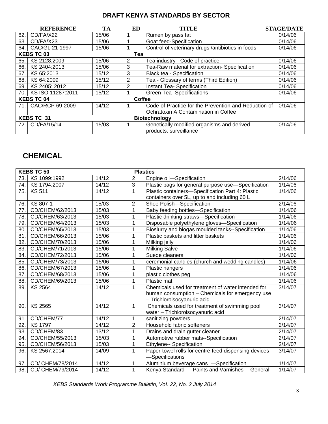|                                           | <b>REFERENCE</b>  | TA    | ED     | TITLE                                                | <b>STAGE/DATE</b> |
|-------------------------------------------|-------------------|-------|--------|------------------------------------------------------|-------------------|
| 62.                                       | CD/FA/X22         | 15/06 |        | Rumen by pass fat                                    | 0/14/06           |
| 63.                                       | CD/FA/X23         | 15/06 |        | Goat feed-Specification                              | 0/14/06           |
| 64.1                                      | CAC/GL 21-1997    | 15/06 |        | Control of veterinary drugs /antibiotics in foods    | 0/14/06           |
|                                           | <b>KEBS TC 03</b> |       | Tea    |                                                      |                   |
| 65.                                       | KS 2128:2009      | 15/06 | 2      | Tea industry - Code of practice                      | 0/14/06           |
| 66.                                       | KS 2404:2013      | 15/06 | 3      | Tea-Raw material for extraction- Specification       | 0/14/06           |
| 67.                                       | KS 65:2013        | 15/12 | 3      | Black tea - Specification                            | 0/14/06           |
| 68.                                       | KS 64:2009        | 15/12 | 2      | Tea - Glossary of terms (Third Edition)              | 0/14/06           |
| 69.                                       | KS 2405: 2012     | 15/12 | 2      | Instant Tea- Specification                           | 0/14/06           |
| 70.1                                      | KS ISO 11287:2011 | 15/12 |        | <b>Green Tea- Specifications</b>                     | 0/14/06           |
|                                           | <b>KEBS TC 04</b> |       | Coffee |                                                      |                   |
| 71.1                                      | CAC/RCP 69-2009   | 14/12 |        | Code of Practice for the Prevention and Reduction of | 0/14/06           |
|                                           |                   |       |        | Ochratoxin A Contamination in Coffee                 |                   |
| <b>KEBS TC 31</b><br><b>Biotechnology</b> |                   |       |        |                                                      |                   |
| 72.1                                      | CD/FA/15/14       | 15/03 |        | Genetically modified organisms and derived           | 0/14/06           |
|                                           |                   |       |        | products: surveillance                               |                   |

# **CHEMICAL**

|     | <b>KEBS TC 50</b><br><b>Plastics</b> |       |                |                                                      |                     |  |
|-----|--------------------------------------|-------|----------------|------------------------------------------------------|---------------------|--|
| 73. | KS 1099:1992                         | 14/12 | 2              | Engine oil-Specification                             | 2/14/06             |  |
| 74. | KS 1794:2007                         | 14/12 | 3              | Plastic bags for general purpose use-Specification   | 1/14/06             |  |
| 75. | <b>KS 511</b>                        | 14/12 | 1              | Plastic containers-Specification Part 4: Plastic     | 1/14/06             |  |
|     |                                      |       |                | containers over 5L, up to and including 60 L         |                     |  |
| 76. | KS 807-1                             | 15/03 | $\overline{2}$ | Shoe Polish-Specification                            | 2/14/06             |  |
| 77. | CD/CHEM/62/2013                      | 15/03 | $\overline{1}$ | Baby feeding bottles-Specification                   | 1/14/06             |  |
| 78. | CD/CHEM/63/2013                      | 15/03 | 1              | Plastic drinking straws-Specification                | 1/14/06             |  |
| 79. | CD/CHEM/64/2013                      | 15/03 | 1              | Disposable polyethylene gloves-Specification         | 1/14/06             |  |
| 80. | CD/CHEM/65/2013                      | 15/03 | 1              | Bioslurry and biogas moulded tanks--Specification    | 1/14/06             |  |
| 81. | CD/CHEM/66/2013                      | 15/06 | 1              | Plastic baskets and litter baskets                   | 1/14/06             |  |
| 82. | CD/CHEM/70/2013                      | 15/06 | 1              | Milking jelly                                        | 1/14/06             |  |
| 83. | CD/CHEM/71/2013                      | 15/06 | $\overline{1}$ | <b>Milking Salve</b>                                 | 1/14/06             |  |
| 84. | CD/CHEM/72/2013                      | 15/06 | 1              | Suede cleaners                                       | 1/14/06             |  |
| 85. | CD/CHEM/73/2013                      | 15/06 | 1              | ceremonial candles (church and wedding candles)      | 1/14/06             |  |
| 86. | CD/CHEM/67/2013                      | 15/06 | 1              | Plastic hangers                                      | 1/14/06             |  |
| 87. | CD/CHEM/68/2013                      | 15/06 | 1              | plastic clothes peg                                  | 1/14/06             |  |
| 88. | CD/CHEM/69/2013                      | 15/06 | 1              | Plastic mat                                          | 1/14/06             |  |
| 89. | <b>KS 2564</b>                       | 14/12 | 1              | Chemicals used for treatment of water intended for   | 3/14/07             |  |
|     |                                      |       |                | human consumption - Chemicals for emergency use      |                     |  |
|     |                                      |       |                | - Trichloroisocyanuric acid                          |                     |  |
| 90. | <b>KS 2565</b>                       | 14/12 | 1              | Chemicals used for treatment of swimming pool        | 3/14/07             |  |
|     |                                      |       |                | water - Trichloroisocyanuric acid                    |                     |  |
| 91. | CD/CHEM/77                           | 14/12 | 1              | sanitizing powders                                   | 2/14/07             |  |
| 92. | <b>KS 1797</b>                       | 14/12 | 2              | Household fabric softeners                           | 2/14/07             |  |
| 93. | CD/CHEM/83                           | 13/12 | $\mathbf{1}$   | Drains and drain gutter cleaner                      | 2/14/07             |  |
| 94. | CD/CHEM/55/2013                      | 15/03 | 1              | Automotive rubber mats--Specification                | 2/14/07             |  |
| 95. | CD/CHEM/56/2013                      | 15/03 | 1              | Ethylene-- Specification                             | 2/14/07             |  |
| 96. | KS 2567:2014                         | 14/09 | 1              | Paper-towel rolls for centre-feed dispensing devices | 3/14/07             |  |
|     |                                      |       |                | -Specifications                                      |                     |  |
| 97. | CD/ CHEM/78/2014                     | 14/12 | 1              | Aluminium beverage cans -Specification               | $\frac{1}{1}$ 14/07 |  |
| 98. | CD/ CHEM/79/2014                     | 14/12 | 1              | Kenya Standard - Paints and Varnishes - General      | 1/14/07             |  |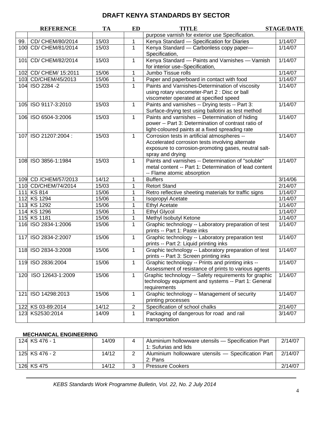|     | <b>REFERENCE</b>      | <b>TA</b> | <b>ED</b>      | <b>TITLE</b>                                                                                                                                                                | <b>STAGE/DATE</b> |
|-----|-----------------------|-----------|----------------|-----------------------------------------------------------------------------------------------------------------------------------------------------------------------------|-------------------|
|     |                       |           |                | purpose varnish for exterior use Specification.                                                                                                                             |                   |
| 99. | CD/ CHEM/80/2014      | 15/03     | 1              | Kenya Standard - Specification for Diaries                                                                                                                                  | 1/14/07           |
|     | 100 CD/ CHEM/81/2014  | 15/03     | 1              | Kenya Standard - Carbonless copy paper-<br>Specification,                                                                                                                   | 1/14/07           |
| 101 | CD/ CHEM/82/2014      | 15/03     | 1              | Kenya Standard - Paints and Varnishes - Varnish<br>for interior use-Specification,                                                                                          | 1/14/07           |
|     | 102 CD/ CHEM/ 15:2011 | 15/06     | 1              | Jumbo Tissue rolls                                                                                                                                                          | 1/14/07           |
|     | 103 CD/CHEM/45/2013   | 15/06     | 1              | Paper and paperboard in contact with food                                                                                                                                   | 1/14/07           |
|     | 104 ISO 2284 -2       | 15/03     | 1              | Paints and Varnishes-Determination of viscosity<br>using rotary viscometer-Part 2 : Disc or ball<br>viscometer operated at specified speed                                  | 1/14/07           |
|     | 105 ISO 9117-3:2010   | 15/03     | $\mathbf{1}$   | Paints and varnishes -- Drying tests -- Part 3:<br>Surface-drying test using ballotini as test method                                                                       | 1/14/07           |
|     | 106 ISO 6504-3:2006   | 15/03     | $\mathbf{1}$   | Paints and varnishes -- Determination of hiding<br>power -- Part 3: Determination of contrast ratio of<br>light-coloured paints at a fixed spreading rate                   | 1/14/07           |
| 107 | ISO 21207:2004:       | 15/03     | $\mathbf{1}$   | Corrosion tests in artificial atmospheres --<br>Accelerated corrosion tests involving alternate<br>exposure to corrosion-promoting gases, neutral salt-<br>spray and drying | 1/14/07           |
|     | 108 ISO 3856-1:1984   | 15/03     | $\mathbf{1}$   | Paints and varnishes -- Determination of "soluble"<br>metal content -- Part 1: Determination of lead content<br>-- Flame atomic absorption                                  | 1/14/07           |
|     | 109 CD / CHEM/57/2013 | 14/12     | 1              | <b>Buffers</b>                                                                                                                                                              | 3/14/06           |
|     | 110 CD/CHEM/74/2014   | 15/03     | 1              | <b>Retort Stand</b>                                                                                                                                                         | 2/14/07           |
|     | 111 KS 814            | 15/06     | 1              | Retro reflective sheeting materials for traffic signs                                                                                                                       | 1/14/07           |
|     | 112 KS 1294           | 15/06     | 1              | Isopropyl Acetate                                                                                                                                                           | 1/14/07           |
|     | 113 KS 1292           | 15/06     | 1              | <b>Ethyl Acetate</b>                                                                                                                                                        | 1/14/07           |
|     | 114 KS 1296           | 15/06     | 1              | <b>Ethyl Glycol</b>                                                                                                                                                         | 1/14/07           |
|     | 115 KS 1181           | 15/06     | 1              | Methyl Isobutyl Ketone                                                                                                                                                      | 1/14/07           |
|     | 116 ISO 2834-1:2006   | 15/06     | 1              | Graphic technology -- Laboratory preparation of test<br>prints -- Part 1: Paste inks                                                                                        | 1/14/07           |
|     | 117 ISO 2834-2:2007   | 15/06     | $\mathbf{1}$   | Graphic technology -- Laboratory preparation test<br>prints -- Part 2: Liquid printing inks                                                                                 | 1/14/07           |
|     | 118 ISO 2834-3:2008   | 15/06     | 1              | Graphic technology -- Laboratory preparation of test<br>prints -- Part 3: Screen printing inks                                                                              | 1/14/07           |
|     | 119 ISO 2836:2004     | 15/06     |                | Graphic technology -- Prints and printing inks --<br>Assessment of resistance of prints to various agents                                                                   | 1/14/07           |
|     | 120 ISO 12643-1:2009  | 15/06     | 1              | Graphic technology -- Safety requirements for graphic<br>technology equipment and systems -- Part 1: General<br>requirements                                                | 1/14/07           |
| 121 | ISO 14298:2013        | 15/06     | 1              | Graphic technology -- Management of security<br>printing processes                                                                                                          | 1/14/07           |
|     | 122 KS 03-89:2014     | 14/12     | $\overline{2}$ | Specification of school chalks                                                                                                                                              | 2/14/07           |
|     | 123 KS2530:2014       | 14/09     | 1              | Packaging of dangerous for road and rail<br>transportation                                                                                                                  | 3/14/07           |

#### **MECHANICAL ENGINEERING**

| 124 KS 476 - 1 | 14/09 | Aluminium hollowware utensils - Specification Part<br>1: Sufurias and lids | 2/14/07 |
|----------------|-------|----------------------------------------------------------------------------|---------|
| 125 KS 476 - 2 | 14/12 | Aluminium hollowware utensils - Specification Part  <br>2: Pans            | 2/14/07 |
| 126 KS 475     | 14/12 | <b>Pressure Cookers</b>                                                    | 2/14/07 |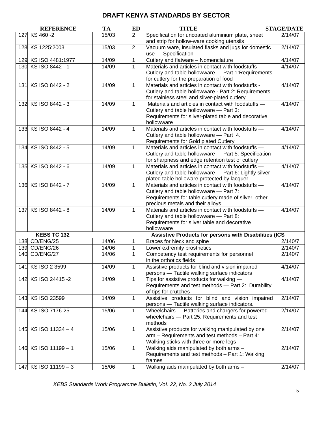|     | <b>REFERENCE</b>     | TA    | ED             | <b>TITLE</b>                                                                                                                                                                              | <b>STAGE/DATE</b> |
|-----|----------------------|-------|----------------|-------------------------------------------------------------------------------------------------------------------------------------------------------------------------------------------|-------------------|
|     | 127 KS 460 -2        | 15/03 | $\overline{2}$ | Specification for uncoated aluminium plate, sheet<br>and strip for hollow-ware cooking utensils                                                                                           | 2/14/07           |
|     | 128 KS 1225:2003     | 15/03 | $\overline{2}$ | Vacuum ware, insulated flasks and jugs for domestic<br>use - Specification                                                                                                                | 2/14/07           |
|     | 129 KS ISO 4481:1977 | 14/09 | 1              | Cutlery and flatware - Nomenclature                                                                                                                                                       | 4/14/07           |
|     | 130 KS ISO 8442 - 1  | 14/09 | $\mathbf{1}$   | Materials and articles in contact with foodstuffs -<br>Cutlery and table hollowware - Part 1: Requirements<br>for cutlery for the preparation of food                                     | 4/14/07           |
|     | 131 KS ISO 8442 - 2  | 14/09 | 1              | Materials and articles in contact with foodstuffs -<br>Cutlery and table hollowware - Part 2: Requirements<br>for stainless steel and silver-plated cutlery                               | 4/14/07           |
|     | 132 KS ISO 8442 - 3  | 14/09 | $\mathbf{1}$   | Materials and articles in contact with foodstuffs -<br>Cutlery and table hollowware - Part 3:<br>Requirements for silver-plated table and decorative<br>hollowware                        | 4/14/07           |
|     | 133 KS ISO 8442 - 4  | 14/09 | $\mathbf{1}$   | Materials and articles in contact with foodstuffs -<br>Cutlery and table hollowware - Part 4.<br>Requirements for Gold plated Cutlery                                                     | 4/14/07           |
|     | 134 KS ISO 8442 - 5  | 14/09 | $\mathbf{1}$   | Materials and articles in contact with foodstuffs -<br>Cutlery and table hollowware - Part 5: Specification<br>for sharpness and edge retention test of cutlery                           | 4/14/07           |
|     | 135 KS ISO 8442 - 6  | 14/09 | $\mathbf{1}$   | Materials and articles in contact with foodstuffs -<br>Cutlery and table hollowware - Part 6: Lightly silver-<br>plated table holloware protected by lacquer                              | 4/14/07           |
|     | 136 KS ISO 8442 - 7  | 14/09 | $\mathbf{1}$   | Materials and articles in contact with foodstuffs -<br>Cutlery and table hollowware - Part 7:<br>Requirements for table cutlery made of silver, other<br>precious metals and their alloys | 4/14/07           |
| 137 | KS ISO 8442 - 8      | 14/09 | $\mathbf{1}$   | Materials and articles in contact with foodstuffs -<br>Cutlery and table hollowware - Part 8:<br>Requirements for silver table and decorative<br>hollowware                               | 4/14/07           |
|     | <b>KEBS TC 132</b>   |       |                | Assistive Products for persons with Disabilities (ICS                                                                                                                                     |                   |
|     | 138 CD/ENG/25        | 14/06 | 1              | Braces for Neck and spine                                                                                                                                                                 | 2/140/7           |
|     | 139 CD/ENG/26        | 14/06 | $\mathbf 1$    | Lower extremity prosthetics                                                                                                                                                               | 2/140/7           |
|     | 140 CD/ENG/27        | 14/06 | $\mathbf{1}$   | Competency test requirements for personnel<br>in the orthotics fields                                                                                                                     | 2/140/7           |
|     | 141 KS ISO 2 3599    | 14/09 | $\mathbf{1}$   | Assistive products for blind and vision impaired<br>persons - Tactile walking surface indicators                                                                                          | 4/14/07           |
|     | 142 KS ISO 24415 -2  | 14/09 | $\mathbf{1}$   | Tips for assistive products for walking -<br>Requirements and test methods - Part 2: Durability<br>of tips for crutches                                                                   | 4/14/07           |
|     | 143 KS ISO 23599     | 14/09 | $\mathbf{1}$   | Assistive products for blind and vision impaired<br>persons - Tactile walking surface indicators.                                                                                         | 2/14/07           |
|     | 144 KS ISO 7176-25   | 15/06 | $\mathbf 1$    | Wheelchairs - Batteries and chargers for powered<br>wheelchairs - Part 25: Requirements and test<br>methods                                                                               | 2/14/07           |
|     | 145 KS ISO 11334 - 4 | 15/06 | $\mathbf 1$    | Assistive products for walking manipulated by one<br>arm - Requirements and test methods - Part 4:<br>Walking sticks with three or more legs                                              | 2/14/07           |
|     | 146 KS ISO 11199 - 1 | 15/06 | $\mathbf{1}$   | Walking aids manipulated by both arms -<br>Requirements and test methods - Part 1: Walking<br>frames                                                                                      | 2/14/07           |
|     | 147 KS ISO 11199 - 3 | 15/06 | 1              | Walking aids manipulated by both arms -                                                                                                                                                   | 2/14/07           |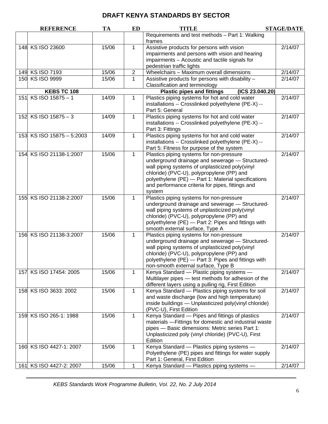|     | <b>REFERENCE</b>          | TA    | <b>ED</b>    | <b>TITLE</b>                                                                                                                                                                                                                                                                                                     | <b>STAGE/DATE</b> |
|-----|---------------------------|-------|--------------|------------------------------------------------------------------------------------------------------------------------------------------------------------------------------------------------------------------------------------------------------------------------------------------------------------------|-------------------|
|     |                           |       |              | Requirements and test methods - Part 1: Walking<br>frames                                                                                                                                                                                                                                                        |                   |
|     | 148 KS ISO 23600          | 15/06 | 1            | Assistive products for persons with vision<br>impairments and persons with vision and hearing<br>impairments - Acoustic and tactile signals for<br>pedestrian traffic lights                                                                                                                                     | 2/14/07           |
|     | 149 KS ISO 7193           | 15/06 | $\mathbf{2}$ | Wheelchairs - Maximum overall dimensions                                                                                                                                                                                                                                                                         | 2/14/07           |
|     | 150 KS ISO 9999           | 15/06 | $\mathbf 1$  | Assistive products for persons with disability -                                                                                                                                                                                                                                                                 | 2/14/07           |
|     |                           |       |              | Classification and terminology                                                                                                                                                                                                                                                                                   |                   |
|     | KEBS TC 108               |       |              | <b>Plastic pipes and fittings</b><br>(ICS 23.040.20)                                                                                                                                                                                                                                                             |                   |
| 151 | KS ISO 15875-1            | 14/09 | 1            | Plastics piping systems for hot and cold water<br>installations -- Crosslinked polyethylene (PE-X) --<br>Part 5: General                                                                                                                                                                                         | 2/14/07           |
|     | 152 KS ISO 15875 - 3      | 14/09 | 1            | Plastics piping systems for hot and cold water<br>installations -- Crosslinked polyethylene (PE-X) --<br>Part 3: Fittings                                                                                                                                                                                        | 2/14/07           |
|     | 153 KS ISO 15875 - 5:2003 | 14/09 | $\mathbf{1}$ | Plastics piping systems for hot and cold water<br>installations -- Crosslinked polyethylene (PE-X) --<br>Part 5: Fitness for purpose of the system                                                                                                                                                               | 2/14/07           |
|     | 154 KS ISO 21138-1:2007   | 15/06 | $\mathbf{1}$ | Plastics piping systems for non-pressure<br>underground drainage and sewerage - Structured-<br>wall piping systems of unplasticized poly(vinyl<br>chloride) (PVC-U), polypropylene (PP) and<br>polyethylene (PE) - Part 1: Material specifications<br>and performance criteria for pipes, fittings and<br>system | 2/14/07           |
|     | 155 KS ISO 21138-2:2007   | 15/06 | $\mathbf{1}$ | Plastics piping systems for non-pressure<br>underground drainage and sewerage - Structured-<br>wall piping systems of unplasticized poly(vinyl<br>chloride) (PVC-U), polypropylene (PP) and<br>polyethylene (PE) - Part 2: Pipes and fittings with<br>smooth external surface, Type A                            | 2/14/07           |
|     | 156 KS ISO 21138-3:2007   | 15/06 | $\mathbf{1}$ | Plastics piping systems for non-pressure<br>underground drainage and sewerage - Structured-<br>wall piping systems of unplasticized poly(vinyl<br>chloride) (PVC-U), polypropylene (PP) and<br>polyethylene (PE) - Part 3: Pipes and fittings with<br>non-smooth external surface, Type B                        | 2/14/07           |
| 157 | KS ISO 17454: 2005        | 15/06 | 1            | Kenya Standard - Plastic piping systems -<br>Multilayer pipes - test methods for adhesion of the<br>different layers using a pulling rig, First Edition                                                                                                                                                          | 2/14/07           |
|     | 158 KS ISO 3633: 2002     | 15/06 | $\mathbf 1$  | Kenya Standard - Plastics piping systems for soil<br>and waste discharge (low and high temperature)<br>inside buildings - Unplasticized poly(vinyl chloride)<br>(PVC-U), First Edition                                                                                                                           | 2/14/07           |
|     | 159 KS ISO 265-1: 1988    | 15/06 | 1            | Kenya Standard - Pipes and fittings of plastics<br>materials - Fittings for domestic and industrial waste<br>pipes - Basic dimensions: Metric series Part 1:<br>Unplasticized poly (vinyl chloride) (PVC-U), First<br>Edition                                                                                    | 2/14/07           |
|     | 160 KS ISO 4427-1: 2007   | 15/06 | $\mathbf{1}$ | Kenya Standard - Plastics piping systems -<br>Polyethylene (PE) pipes and fittings for water supply<br>Part 1: General, First Edition                                                                                                                                                                            | 2/14/07           |
|     | 161 KS ISO 4427-2: 2007   | 15/06 | 1            | Kenya Standard - Plastics piping systems -                                                                                                                                                                                                                                                                       | 2/14/07           |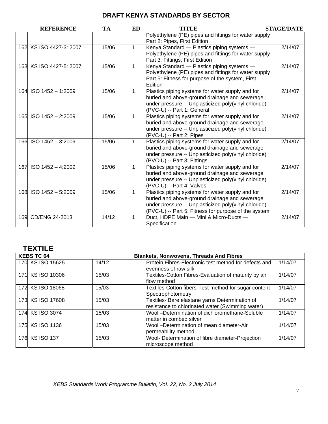|     | <b>REFERENCE</b>        | <b>TA</b> | ED           | TITLE                                                                                                                                                                                                             | <b>STAGE/DATE</b> |
|-----|-------------------------|-----------|--------------|-------------------------------------------------------------------------------------------------------------------------------------------------------------------------------------------------------------------|-------------------|
|     |                         |           |              | Polyethylene (PE) pipes and fittings for water supply<br>Part 2: Pipes, First Edition                                                                                                                             |                   |
|     | 162 KS ISO 4427-3: 2007 | 15/06     | $\mathbf{1}$ | Kenya Standard - Plastics piping systems -<br>Polyethylene (PE) pipes and fittings for water supply<br>Part 3: Fittings, First Edition                                                                            | 2/14/07           |
|     | 163 KS ISO 4427-5: 2007 | 15/06     | $\mathbf{1}$ | Kenya Standard - Plastics piping systems -<br>Polyethylene (PE) pipes and fittings for water supply<br>Part 5: Fitness for purpose of the system, First<br>Edition                                                | 2/14/07           |
|     | 164 ISO 1452 - 1:2009   | 15/06     | $\mathbf{1}$ | Plastics piping systems for water supply and for<br>buried and above-ground drainage and sewerage<br>under pressure -- Unplasticized poly(vinyl chloride)<br>(PVC-U) -- Part 1: General                           | 2/14/07           |
|     | 165 ISO 1452 - 2:2009   | 15/06     | 1            | Plastics piping systems for water supply and for<br>buried and above-ground drainage and sewerage<br>under pressure -- Unplasticized poly(vinyl chloride)<br>(PVC-U) -- Part 2: Pipes                             | 2/14/07           |
|     | 166 ISO 1452 - 3:2009   | 15/06     | $\mathbf{1}$ | Plastics piping systems for water supply and for<br>buried and above-ground drainage and sewerage<br>under pressure -- Unplasticized poly(vinyl chloride)<br>(PVC-U) -- Part 3: Fittings                          | 2/14/07           |
| 167 | $ISO$ 1452 - 4:2009     | 15/06     | $\mathbf{1}$ | Plastics piping systems for water supply and for<br>buried and above-ground drainage and sewerage<br>under pressure -- Unplasticized poly(vinyl chloride)<br>(PVC-U) -- Part 4: Valves                            | 2/14/07           |
|     | 168 ISO 1452 - 5:2009   | 15/06     | 1            | Plastics piping systems for water supply and for<br>buried and above-ground drainage and sewerage<br>under pressure -- Unplasticized poly(vinyl chloride)<br>(PVC-U) -- Part 5: Fitness for purpose of the system | 2/14/07           |
|     | 169 CD/ENG 24-2013      | 14/12     | $\mathbf 1$  | Duct, HDPE Main - Mini & Micro-Ducts -<br>Specification                                                                                                                                                           | 2/14/07           |

# **TEXTILE**

| <b>KEBS TC 64</b><br><b>Blankets, Nonwovens, Threads And Fibres</b> |       |                                                                                                    |         |  |
|---------------------------------------------------------------------|-------|----------------------------------------------------------------------------------------------------|---------|--|
| 170 KS ISO 15625                                                    | 14/12 | Protein Fibres-Electronic test method for defects and<br>evenness of raw silk                      | 1/14/07 |  |
| 171 KS ISO 10306                                                    | 15/03 | Textiles-Cotton Fibres-Evaluation of maturity by air<br>flow method                                | 1/14/07 |  |
| 172 KS ISO 18068                                                    | 15/03 | Textiles-Cotton fibers-Test method for sugar content-<br>Spectrophotometry                         | 1/14/07 |  |
| 173 KS ISO 17608                                                    | 15/03 | Textiles- Bare elastane yarns Determination of<br>resistance to chlorinated water (Swimming water) | 1/14/07 |  |
| 174 KS ISO 3074                                                     | 15/03 | Wool -Determination of dichloromethane-Soluble<br>matter in combed silver                          | 1/14/07 |  |
| 175 KS ISO 1136                                                     | 15/03 | Wool -Determination of mean diameter-Air<br>permeability method                                    | 1/14/07 |  |
| 176 KS ISO 137                                                      | 15/03 | Wool- Determination of fibre diameter-Projection<br>microscope method                              | 1/14/07 |  |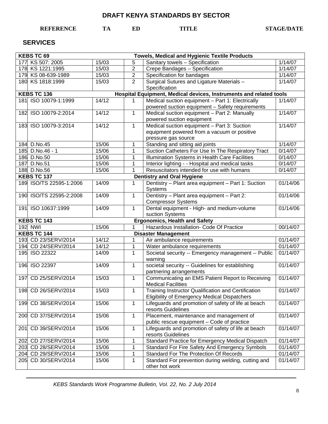### **REFERENCE TA ED TITLE STAGE/DATE**

### **SERVICES**

|                                                                                   | <b>KEBS TC 69</b><br><b>Towels, Medical and Hygienic Textile Products</b> |       |                |                                                       |          |  |  |
|-----------------------------------------------------------------------------------|---------------------------------------------------------------------------|-------|----------------|-------------------------------------------------------|----------|--|--|
|                                                                                   | 177 KS 507: 2005                                                          | 15/03 | 5              | Sanitary towels - Specification                       | 1/14/07  |  |  |
|                                                                                   | 178 KS 1221:1995                                                          | 15/03 | $\overline{2}$ | Crepe Bandages - Specification                        | 1/14/07  |  |  |
|                                                                                   | 179 KS 08-639-1989                                                        | 15/03 | $\overline{2}$ | Specification for bandages                            | 1/14/07  |  |  |
|                                                                                   | 180 KS 1818:1999                                                          | 15/03 | $\overline{2}$ | Surgical Sutures and Ligature Materials -             | 1/14/07  |  |  |
|                                                                                   |                                                                           |       |                | Specification                                         |          |  |  |
| KEBS TC 136<br>Hospital Equipment, Medical devices, Instruments and related tools |                                                                           |       |                |                                                       |          |  |  |
|                                                                                   | 181 ISO 10079-1:1999                                                      | 14/12 | 1              | Medical suction equipment - Part 1: Electrically      | 1/14/07  |  |  |
|                                                                                   |                                                                           |       |                | powered suction equipment - Safety requirements       |          |  |  |
|                                                                                   | 182 ISO 10079-2:2014                                                      | 14/12 | $\mathbf{1}$   | Medical suction equipment - Part 2: Manually          | 1/14/07  |  |  |
|                                                                                   |                                                                           |       |                | powered suction equipment                             |          |  |  |
|                                                                                   | 183 ISO 10079-3:2014                                                      | 14/12 | $\mathbf 1$    | Medical suction equipment - Part 3: Suction           | 1/14/07  |  |  |
|                                                                                   |                                                                           |       |                | equipment powered from a vacuum or positive           |          |  |  |
|                                                                                   |                                                                           |       |                | pressure gas source                                   |          |  |  |
|                                                                                   | 184 D.No.45                                                               | 15/06 | 1              | Standing and sitting aid joints                       | 1/14/07  |  |  |
|                                                                                   | 185 D.No.46 - 1                                                           | 15/06 | 1              | Suction Catheters For Use In The Respiratory Tract    | 0/14/07  |  |  |
|                                                                                   | 186 D.No.50                                                               | 15/06 | 1              | Illumination Systems in Health Care Facilities        | 0/14/07  |  |  |
|                                                                                   | 187 D.No.51                                                               | 15/06 | 1              | Interior lighting - - Hospital and medical tasks      | 0/14/07  |  |  |
|                                                                                   | 188 D.No.56                                                               | 15/06 |                | Resuscitators intended for use with humans            | 0/14/07  |  |  |
|                                                                                   | <b>KEBS TC 137</b>                                                        |       |                | <b>Dentistry and Oral Hygiene</b>                     |          |  |  |
|                                                                                   | 189 ISO/TS 22595-1:2006                                                   | 14/09 | 1              | Dentistry - Plant area equipment - Part 1: Suction    | 01/14/06 |  |  |
|                                                                                   | 190 ISO/TS 22595-2:2008                                                   | 14/09 |                | Systems<br>Dentistry - Plant area equipment - Part 2: | 01/14/06 |  |  |
|                                                                                   |                                                                           |       | 1              | <b>Compressor Systems</b>                             |          |  |  |
|                                                                                   | 191 ISO 10637:1999                                                        | 14/09 | $\mathbf{1}$   | Dental equipment - High- and medium-volume            | 01/14/06 |  |  |
|                                                                                   |                                                                           |       |                | suction Systems                                       |          |  |  |
|                                                                                   | <b>Ergonomics, Health and Safety</b><br><b>KEBS TC 143</b>                |       |                |                                                       |          |  |  |
| 192 NWI<br>Hazardous Installation- Code Of Practice<br>15/06<br>1                 |                                                                           |       | 00/14/07       |                                                       |          |  |  |
|                                                                                   | <b>KEBS TC 144</b>                                                        |       |                | <b>Disaster Management</b>                            |          |  |  |
|                                                                                   | 193 CD 23/SERV/2014                                                       | 14/12 | 1              | Air ambulance requirements                            | 01/14/07 |  |  |
|                                                                                   | 194 CD 24/SERV/2014                                                       | 14/12 | 1              | Water ambulance requirements                          | 01/14/07 |  |  |
|                                                                                   | 195 ISO 22322                                                             | 14/09 | $\mathbf{1}$   | Societal security -- Emergency management -- Public   | 01/14/07 |  |  |
|                                                                                   |                                                                           |       |                | warning                                               |          |  |  |
|                                                                                   | 196 ISO 22397                                                             | 14/09 | $\mathbf{1}$   | societal security -- Guidelines for establishing      | 01/14/07 |  |  |
|                                                                                   |                                                                           |       |                | partnering arrangements                               |          |  |  |
| 197                                                                               | CD 25/SERV/2014                                                           | 15/03 | $\mathbf{1}$   | Communicating an EMS Patient Report to Receiving      | 01/14/07 |  |  |
|                                                                                   |                                                                           |       |                | <b>Medical Facilities</b>                             |          |  |  |
|                                                                                   | 198 CD 26/SERV/2014                                                       | 15/03 | 1              | Training Instructor Qualification and Certification   | 01/14/07 |  |  |
|                                                                                   |                                                                           |       |                | <b>Eligibility of Emergency Medical Dispatchers</b>   |          |  |  |
| 199                                                                               | CD 38/SERV/2014                                                           | 15/06 | $\mathbf{1}$   | Lifeguards and promotion of safety of life at beach   | 01/14/07 |  |  |
|                                                                                   |                                                                           |       |                | resorts Guidelines                                    |          |  |  |
| 200                                                                               | CD 37/SERV/2014                                                           | 15/06 | $\mathbf 1$    | Placement, maintenance and management of              | 01/14/07 |  |  |
|                                                                                   |                                                                           |       |                | public rescue equipment - Code of practice            |          |  |  |
| 201                                                                               | CD 39/SERV/2014                                                           | 15/06 | $\mathbf 1$    | Lifeguards and promotion of safety of life at beach   | 01/14/07 |  |  |
|                                                                                   |                                                                           |       |                | resorts Guidelines                                    |          |  |  |
| 202                                                                               | CD 27/SERV/2014                                                           | 15/06 | 1              | Standard Practice for Emergency Medical Dispatch      | 01/14/07 |  |  |
|                                                                                   | 203 CD 28/SERV/2014                                                       | 15/06 | 1              | Standard For Fire Safety And Emergency Symbols        | 01/14/07 |  |  |
|                                                                                   | 204 CD 29/SERV/2014                                                       | 15/06 | 1              | Standard For The Protection Of Records                | 01/14/07 |  |  |
| 205                                                                               | CD 30/SERV/2014                                                           | 15/06 | 1              | Standard For prevention during welding, cutting and   | 01/14/07 |  |  |
|                                                                                   |                                                                           |       |                | other hot work                                        |          |  |  |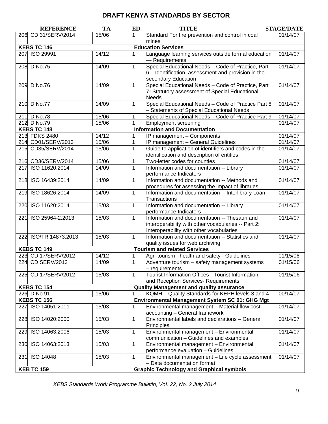| Standard For fire prevention and control in coal<br>206 CD 31/SERV/2014<br>15/06<br>01/14/07<br>1<br>mines<br><b>KEBS TC 146</b><br><b>Education Services</b><br>14/12<br>01/14/07<br>207 ISO 29991<br>Language learning services outside formal education<br>1<br>- Requirements<br>Special Educational Needs - Code of Practice, Part<br>$\mathbf{1}$<br>01/14/07<br>208 D.No.75<br>14/09<br>6 - Identification, assessment and provision in the<br>secondary Education<br>Special Educational Needs - Code of Practice, Part<br>01/14/07<br>209 D.No.76<br>14/09<br>$\mathbf{1}$<br>7- Statutory assessment of Special Educational<br><b>Needs</b><br>Special Educational Needs - Code of Practice Part 8<br>01/14/07<br>210 D.No.77<br>14/09<br>$\mathbf 1$<br>- Statements of Special Educational Needs<br>15/06<br>01/14/07<br>211 D.No.78<br>Special Educational Needs - Code of Practice Part 9<br>1<br>15/06<br>212 D.No.79<br>01/14/07<br>1<br><b>Employment screening</b><br><b>KEBS TC 148</b><br><b>Information and Documentation</b><br>213 FDKS 2480<br>14/12<br>01/14/07<br>IP management - Components<br>1<br>214 CD01/SERV/2013<br>15/06<br>IP management - General Guidelines<br>01/14/07<br>$\mathbf 1$<br>215 CD35/SERV/2014<br>15/06<br>$\mathbf{1}$<br>Guide to application of identifiers and codes in the<br>01/14/07<br>identification and description of entities<br>15/06<br>216 CD36/SERV/2014<br>Two-letter codes for counties<br>01/14/07<br>1<br>217 ISO 11620:2014<br>14/09<br>$\mathbf{1}$<br>Information and documentation -- Library<br>01/14/07<br>performance Indicators<br>Information and documentation -- Methods and<br>218 ISO 16439:2014<br>14/09<br>01/14/07<br>1<br>procedures for assessing the impact of libraries<br>219 ISO 18626:2014<br>14/09<br>Information and documentation -- Interlibrary Loan<br>01/14/07<br>$\mathbf{1}$<br>Transactions<br>220 ISO 11620:2014<br>15/03<br>$\mathbf{1}$<br>Information and documentation -- Library<br>01/14/07<br>performance Indicators<br>Information and documentation -- Thesauri and<br>01/14/07<br>ISO 25964-2:2013<br>15/03<br>1<br>221<br>interoperability with other vocabularies -- Part 2:<br>Interoperability with other vocabularies<br>15/03<br>$\mathbf{1}$<br>01/14/07<br>222 ISO/TR 14873:2013<br>Information and documentation -- Statistics and<br>quality issues for web archiving<br><b>KEBS TC 149</b><br><b>Tourism and related Services</b><br>223 CD 17/SERV/2012<br>14/12<br>01/15/06<br>Agri-tourism - health and safety - Guidelines<br>1<br>1<br>224 CD SERV/2013<br>14/09<br>01/15/06<br>Adventure tourism - safety management systems<br>$-$ requirements<br>15/03<br>$\mathbf{1}$<br>Tourist Information Offices - Tourist Information<br>01/15/06<br>225 CD 17/SERV/2012<br>and Reception Services- Requirements<br><b>KEBS TC 154</b><br>Quality Management and quality assurance<br>15/06<br>00/14/07<br>226 D.No.91<br>KQMH - Quality Standards for KEPH levels 3 and 4<br>KEBS TC 156<br>Environmental Management System SC 01: GHG Mgt<br>227 ISO 14051:2011<br>15/03<br>01/14/07<br>$\mathbf 1$<br>Environmental management - Material flow cost<br>accounting - General framework<br>15/03<br>$\mathbf{1}$<br>01/14/07<br>228 ISO 14020:2000<br>Environmental labels and declarations - General<br>Principles<br>15/03<br>01/14/07<br>ISO 14063:2006<br>1<br>229<br>Environmental management - Environmental<br>communication - Guidelines and examples<br>230 ISO 14063:2013<br>$\mathbf{1}$<br>01/14/07<br>15/03<br>Environmental management - Environmental<br>performance evaluation - Guidelines<br>231 ISO 14048<br>15/03<br>Environmental management - Life cycle assessment<br>01/14/07<br>1<br>- Data documentation format<br><b>Graphic Technology and Graphical symbols</b><br><b>KEB TC 159</b> |  | <b>REFERENCE</b><br><b>TA</b><br>ED<br><b>TITLE</b> |  |  |  | <b>STAGE/DATE</b> |  |
|-------------------------------------------------------------------------------------------------------------------------------------------------------------------------------------------------------------------------------------------------------------------------------------------------------------------------------------------------------------------------------------------------------------------------------------------------------------------------------------------------------------------------------------------------------------------------------------------------------------------------------------------------------------------------------------------------------------------------------------------------------------------------------------------------------------------------------------------------------------------------------------------------------------------------------------------------------------------------------------------------------------------------------------------------------------------------------------------------------------------------------------------------------------------------------------------------------------------------------------------------------------------------------------------------------------------------------------------------------------------------------------------------------------------------------------------------------------------------------------------------------------------------------------------------------------------------------------------------------------------------------------------------------------------------------------------------------------------------------------------------------------------------------------------------------------------------------------------------------------------------------------------------------------------------------------------------------------------------------------------------------------------------------------------------------------------------------------------------------------------------------------------------------------------------------------------------------------------------------------------------------------------------------------------------------------------------------------------------------------------------------------------------------------------------------------------------------------------------------------------------------------------------------------------------------------------------------------------------------------------------------------------------------------------------------------------------------------------------------------------------------------------------------------------------------------------------------------------------------------------------------------------------------------------------------------------------------------------------------------------------------------------------------------------------------------------------------------------------------------------------------------------------------------------------------------------------------------------------------------------------------------------------------------------------------------------------------------------------------------------------------------------------------------------------------------------------------------------------------------------------------------------------------------------------------------------------------------------------------------------------------------------------------------------------------------------------------------------------------------------------------------------------------------------------------------------------------------------------|--|-----------------------------------------------------|--|--|--|-------------------|--|
|                                                                                                                                                                                                                                                                                                                                                                                                                                                                                                                                                                                                                                                                                                                                                                                                                                                                                                                                                                                                                                                                                                                                                                                                                                                                                                                                                                                                                                                                                                                                                                                                                                                                                                                                                                                                                                                                                                                                                                                                                                                                                                                                                                                                                                                                                                                                                                                                                                                                                                                                                                                                                                                                                                                                                                                                                                                                                                                                                                                                                                                                                                                                                                                                                                                                                                                                                                                                                                                                                                                                                                                                                                                                                                                                                                                                                                                 |  |                                                     |  |  |  |                   |  |
|                                                                                                                                                                                                                                                                                                                                                                                                                                                                                                                                                                                                                                                                                                                                                                                                                                                                                                                                                                                                                                                                                                                                                                                                                                                                                                                                                                                                                                                                                                                                                                                                                                                                                                                                                                                                                                                                                                                                                                                                                                                                                                                                                                                                                                                                                                                                                                                                                                                                                                                                                                                                                                                                                                                                                                                                                                                                                                                                                                                                                                                                                                                                                                                                                                                                                                                                                                                                                                                                                                                                                                                                                                                                                                                                                                                                                                                 |  |                                                     |  |  |  |                   |  |
|                                                                                                                                                                                                                                                                                                                                                                                                                                                                                                                                                                                                                                                                                                                                                                                                                                                                                                                                                                                                                                                                                                                                                                                                                                                                                                                                                                                                                                                                                                                                                                                                                                                                                                                                                                                                                                                                                                                                                                                                                                                                                                                                                                                                                                                                                                                                                                                                                                                                                                                                                                                                                                                                                                                                                                                                                                                                                                                                                                                                                                                                                                                                                                                                                                                                                                                                                                                                                                                                                                                                                                                                                                                                                                                                                                                                                                                 |  |                                                     |  |  |  |                   |  |
|                                                                                                                                                                                                                                                                                                                                                                                                                                                                                                                                                                                                                                                                                                                                                                                                                                                                                                                                                                                                                                                                                                                                                                                                                                                                                                                                                                                                                                                                                                                                                                                                                                                                                                                                                                                                                                                                                                                                                                                                                                                                                                                                                                                                                                                                                                                                                                                                                                                                                                                                                                                                                                                                                                                                                                                                                                                                                                                                                                                                                                                                                                                                                                                                                                                                                                                                                                                                                                                                                                                                                                                                                                                                                                                                                                                                                                                 |  |                                                     |  |  |  |                   |  |
|                                                                                                                                                                                                                                                                                                                                                                                                                                                                                                                                                                                                                                                                                                                                                                                                                                                                                                                                                                                                                                                                                                                                                                                                                                                                                                                                                                                                                                                                                                                                                                                                                                                                                                                                                                                                                                                                                                                                                                                                                                                                                                                                                                                                                                                                                                                                                                                                                                                                                                                                                                                                                                                                                                                                                                                                                                                                                                                                                                                                                                                                                                                                                                                                                                                                                                                                                                                                                                                                                                                                                                                                                                                                                                                                                                                                                                                 |  |                                                     |  |  |  |                   |  |
|                                                                                                                                                                                                                                                                                                                                                                                                                                                                                                                                                                                                                                                                                                                                                                                                                                                                                                                                                                                                                                                                                                                                                                                                                                                                                                                                                                                                                                                                                                                                                                                                                                                                                                                                                                                                                                                                                                                                                                                                                                                                                                                                                                                                                                                                                                                                                                                                                                                                                                                                                                                                                                                                                                                                                                                                                                                                                                                                                                                                                                                                                                                                                                                                                                                                                                                                                                                                                                                                                                                                                                                                                                                                                                                                                                                                                                                 |  |                                                     |  |  |  |                   |  |
|                                                                                                                                                                                                                                                                                                                                                                                                                                                                                                                                                                                                                                                                                                                                                                                                                                                                                                                                                                                                                                                                                                                                                                                                                                                                                                                                                                                                                                                                                                                                                                                                                                                                                                                                                                                                                                                                                                                                                                                                                                                                                                                                                                                                                                                                                                                                                                                                                                                                                                                                                                                                                                                                                                                                                                                                                                                                                                                                                                                                                                                                                                                                                                                                                                                                                                                                                                                                                                                                                                                                                                                                                                                                                                                                                                                                                                                 |  |                                                     |  |  |  |                   |  |
|                                                                                                                                                                                                                                                                                                                                                                                                                                                                                                                                                                                                                                                                                                                                                                                                                                                                                                                                                                                                                                                                                                                                                                                                                                                                                                                                                                                                                                                                                                                                                                                                                                                                                                                                                                                                                                                                                                                                                                                                                                                                                                                                                                                                                                                                                                                                                                                                                                                                                                                                                                                                                                                                                                                                                                                                                                                                                                                                                                                                                                                                                                                                                                                                                                                                                                                                                                                                                                                                                                                                                                                                                                                                                                                                                                                                                                                 |  |                                                     |  |  |  |                   |  |
|                                                                                                                                                                                                                                                                                                                                                                                                                                                                                                                                                                                                                                                                                                                                                                                                                                                                                                                                                                                                                                                                                                                                                                                                                                                                                                                                                                                                                                                                                                                                                                                                                                                                                                                                                                                                                                                                                                                                                                                                                                                                                                                                                                                                                                                                                                                                                                                                                                                                                                                                                                                                                                                                                                                                                                                                                                                                                                                                                                                                                                                                                                                                                                                                                                                                                                                                                                                                                                                                                                                                                                                                                                                                                                                                                                                                                                                 |  |                                                     |  |  |  |                   |  |
|                                                                                                                                                                                                                                                                                                                                                                                                                                                                                                                                                                                                                                                                                                                                                                                                                                                                                                                                                                                                                                                                                                                                                                                                                                                                                                                                                                                                                                                                                                                                                                                                                                                                                                                                                                                                                                                                                                                                                                                                                                                                                                                                                                                                                                                                                                                                                                                                                                                                                                                                                                                                                                                                                                                                                                                                                                                                                                                                                                                                                                                                                                                                                                                                                                                                                                                                                                                                                                                                                                                                                                                                                                                                                                                                                                                                                                                 |  |                                                     |  |  |  |                   |  |
|                                                                                                                                                                                                                                                                                                                                                                                                                                                                                                                                                                                                                                                                                                                                                                                                                                                                                                                                                                                                                                                                                                                                                                                                                                                                                                                                                                                                                                                                                                                                                                                                                                                                                                                                                                                                                                                                                                                                                                                                                                                                                                                                                                                                                                                                                                                                                                                                                                                                                                                                                                                                                                                                                                                                                                                                                                                                                                                                                                                                                                                                                                                                                                                                                                                                                                                                                                                                                                                                                                                                                                                                                                                                                                                                                                                                                                                 |  |                                                     |  |  |  |                   |  |
|                                                                                                                                                                                                                                                                                                                                                                                                                                                                                                                                                                                                                                                                                                                                                                                                                                                                                                                                                                                                                                                                                                                                                                                                                                                                                                                                                                                                                                                                                                                                                                                                                                                                                                                                                                                                                                                                                                                                                                                                                                                                                                                                                                                                                                                                                                                                                                                                                                                                                                                                                                                                                                                                                                                                                                                                                                                                                                                                                                                                                                                                                                                                                                                                                                                                                                                                                                                                                                                                                                                                                                                                                                                                                                                                                                                                                                                 |  |                                                     |  |  |  |                   |  |
|                                                                                                                                                                                                                                                                                                                                                                                                                                                                                                                                                                                                                                                                                                                                                                                                                                                                                                                                                                                                                                                                                                                                                                                                                                                                                                                                                                                                                                                                                                                                                                                                                                                                                                                                                                                                                                                                                                                                                                                                                                                                                                                                                                                                                                                                                                                                                                                                                                                                                                                                                                                                                                                                                                                                                                                                                                                                                                                                                                                                                                                                                                                                                                                                                                                                                                                                                                                                                                                                                                                                                                                                                                                                                                                                                                                                                                                 |  |                                                     |  |  |  |                   |  |
|                                                                                                                                                                                                                                                                                                                                                                                                                                                                                                                                                                                                                                                                                                                                                                                                                                                                                                                                                                                                                                                                                                                                                                                                                                                                                                                                                                                                                                                                                                                                                                                                                                                                                                                                                                                                                                                                                                                                                                                                                                                                                                                                                                                                                                                                                                                                                                                                                                                                                                                                                                                                                                                                                                                                                                                                                                                                                                                                                                                                                                                                                                                                                                                                                                                                                                                                                                                                                                                                                                                                                                                                                                                                                                                                                                                                                                                 |  |                                                     |  |  |  |                   |  |
|                                                                                                                                                                                                                                                                                                                                                                                                                                                                                                                                                                                                                                                                                                                                                                                                                                                                                                                                                                                                                                                                                                                                                                                                                                                                                                                                                                                                                                                                                                                                                                                                                                                                                                                                                                                                                                                                                                                                                                                                                                                                                                                                                                                                                                                                                                                                                                                                                                                                                                                                                                                                                                                                                                                                                                                                                                                                                                                                                                                                                                                                                                                                                                                                                                                                                                                                                                                                                                                                                                                                                                                                                                                                                                                                                                                                                                                 |  |                                                     |  |  |  |                   |  |
|                                                                                                                                                                                                                                                                                                                                                                                                                                                                                                                                                                                                                                                                                                                                                                                                                                                                                                                                                                                                                                                                                                                                                                                                                                                                                                                                                                                                                                                                                                                                                                                                                                                                                                                                                                                                                                                                                                                                                                                                                                                                                                                                                                                                                                                                                                                                                                                                                                                                                                                                                                                                                                                                                                                                                                                                                                                                                                                                                                                                                                                                                                                                                                                                                                                                                                                                                                                                                                                                                                                                                                                                                                                                                                                                                                                                                                                 |  |                                                     |  |  |  |                   |  |
|                                                                                                                                                                                                                                                                                                                                                                                                                                                                                                                                                                                                                                                                                                                                                                                                                                                                                                                                                                                                                                                                                                                                                                                                                                                                                                                                                                                                                                                                                                                                                                                                                                                                                                                                                                                                                                                                                                                                                                                                                                                                                                                                                                                                                                                                                                                                                                                                                                                                                                                                                                                                                                                                                                                                                                                                                                                                                                                                                                                                                                                                                                                                                                                                                                                                                                                                                                                                                                                                                                                                                                                                                                                                                                                                                                                                                                                 |  |                                                     |  |  |  |                   |  |
|                                                                                                                                                                                                                                                                                                                                                                                                                                                                                                                                                                                                                                                                                                                                                                                                                                                                                                                                                                                                                                                                                                                                                                                                                                                                                                                                                                                                                                                                                                                                                                                                                                                                                                                                                                                                                                                                                                                                                                                                                                                                                                                                                                                                                                                                                                                                                                                                                                                                                                                                                                                                                                                                                                                                                                                                                                                                                                                                                                                                                                                                                                                                                                                                                                                                                                                                                                                                                                                                                                                                                                                                                                                                                                                                                                                                                                                 |  |                                                     |  |  |  |                   |  |
|                                                                                                                                                                                                                                                                                                                                                                                                                                                                                                                                                                                                                                                                                                                                                                                                                                                                                                                                                                                                                                                                                                                                                                                                                                                                                                                                                                                                                                                                                                                                                                                                                                                                                                                                                                                                                                                                                                                                                                                                                                                                                                                                                                                                                                                                                                                                                                                                                                                                                                                                                                                                                                                                                                                                                                                                                                                                                                                                                                                                                                                                                                                                                                                                                                                                                                                                                                                                                                                                                                                                                                                                                                                                                                                                                                                                                                                 |  |                                                     |  |  |  |                   |  |
|                                                                                                                                                                                                                                                                                                                                                                                                                                                                                                                                                                                                                                                                                                                                                                                                                                                                                                                                                                                                                                                                                                                                                                                                                                                                                                                                                                                                                                                                                                                                                                                                                                                                                                                                                                                                                                                                                                                                                                                                                                                                                                                                                                                                                                                                                                                                                                                                                                                                                                                                                                                                                                                                                                                                                                                                                                                                                                                                                                                                                                                                                                                                                                                                                                                                                                                                                                                                                                                                                                                                                                                                                                                                                                                                                                                                                                                 |  |                                                     |  |  |  |                   |  |
|                                                                                                                                                                                                                                                                                                                                                                                                                                                                                                                                                                                                                                                                                                                                                                                                                                                                                                                                                                                                                                                                                                                                                                                                                                                                                                                                                                                                                                                                                                                                                                                                                                                                                                                                                                                                                                                                                                                                                                                                                                                                                                                                                                                                                                                                                                                                                                                                                                                                                                                                                                                                                                                                                                                                                                                                                                                                                                                                                                                                                                                                                                                                                                                                                                                                                                                                                                                                                                                                                                                                                                                                                                                                                                                                                                                                                                                 |  |                                                     |  |  |  |                   |  |
|                                                                                                                                                                                                                                                                                                                                                                                                                                                                                                                                                                                                                                                                                                                                                                                                                                                                                                                                                                                                                                                                                                                                                                                                                                                                                                                                                                                                                                                                                                                                                                                                                                                                                                                                                                                                                                                                                                                                                                                                                                                                                                                                                                                                                                                                                                                                                                                                                                                                                                                                                                                                                                                                                                                                                                                                                                                                                                                                                                                                                                                                                                                                                                                                                                                                                                                                                                                                                                                                                                                                                                                                                                                                                                                                                                                                                                                 |  |                                                     |  |  |  |                   |  |
|                                                                                                                                                                                                                                                                                                                                                                                                                                                                                                                                                                                                                                                                                                                                                                                                                                                                                                                                                                                                                                                                                                                                                                                                                                                                                                                                                                                                                                                                                                                                                                                                                                                                                                                                                                                                                                                                                                                                                                                                                                                                                                                                                                                                                                                                                                                                                                                                                                                                                                                                                                                                                                                                                                                                                                                                                                                                                                                                                                                                                                                                                                                                                                                                                                                                                                                                                                                                                                                                                                                                                                                                                                                                                                                                                                                                                                                 |  |                                                     |  |  |  |                   |  |
|                                                                                                                                                                                                                                                                                                                                                                                                                                                                                                                                                                                                                                                                                                                                                                                                                                                                                                                                                                                                                                                                                                                                                                                                                                                                                                                                                                                                                                                                                                                                                                                                                                                                                                                                                                                                                                                                                                                                                                                                                                                                                                                                                                                                                                                                                                                                                                                                                                                                                                                                                                                                                                                                                                                                                                                                                                                                                                                                                                                                                                                                                                                                                                                                                                                                                                                                                                                                                                                                                                                                                                                                                                                                                                                                                                                                                                                 |  |                                                     |  |  |  |                   |  |
|                                                                                                                                                                                                                                                                                                                                                                                                                                                                                                                                                                                                                                                                                                                                                                                                                                                                                                                                                                                                                                                                                                                                                                                                                                                                                                                                                                                                                                                                                                                                                                                                                                                                                                                                                                                                                                                                                                                                                                                                                                                                                                                                                                                                                                                                                                                                                                                                                                                                                                                                                                                                                                                                                                                                                                                                                                                                                                                                                                                                                                                                                                                                                                                                                                                                                                                                                                                                                                                                                                                                                                                                                                                                                                                                                                                                                                                 |  |                                                     |  |  |  |                   |  |
|                                                                                                                                                                                                                                                                                                                                                                                                                                                                                                                                                                                                                                                                                                                                                                                                                                                                                                                                                                                                                                                                                                                                                                                                                                                                                                                                                                                                                                                                                                                                                                                                                                                                                                                                                                                                                                                                                                                                                                                                                                                                                                                                                                                                                                                                                                                                                                                                                                                                                                                                                                                                                                                                                                                                                                                                                                                                                                                                                                                                                                                                                                                                                                                                                                                                                                                                                                                                                                                                                                                                                                                                                                                                                                                                                                                                                                                 |  |                                                     |  |  |  |                   |  |
|                                                                                                                                                                                                                                                                                                                                                                                                                                                                                                                                                                                                                                                                                                                                                                                                                                                                                                                                                                                                                                                                                                                                                                                                                                                                                                                                                                                                                                                                                                                                                                                                                                                                                                                                                                                                                                                                                                                                                                                                                                                                                                                                                                                                                                                                                                                                                                                                                                                                                                                                                                                                                                                                                                                                                                                                                                                                                                                                                                                                                                                                                                                                                                                                                                                                                                                                                                                                                                                                                                                                                                                                                                                                                                                                                                                                                                                 |  |                                                     |  |  |  |                   |  |
|                                                                                                                                                                                                                                                                                                                                                                                                                                                                                                                                                                                                                                                                                                                                                                                                                                                                                                                                                                                                                                                                                                                                                                                                                                                                                                                                                                                                                                                                                                                                                                                                                                                                                                                                                                                                                                                                                                                                                                                                                                                                                                                                                                                                                                                                                                                                                                                                                                                                                                                                                                                                                                                                                                                                                                                                                                                                                                                                                                                                                                                                                                                                                                                                                                                                                                                                                                                                                                                                                                                                                                                                                                                                                                                                                                                                                                                 |  |                                                     |  |  |  |                   |  |
|                                                                                                                                                                                                                                                                                                                                                                                                                                                                                                                                                                                                                                                                                                                                                                                                                                                                                                                                                                                                                                                                                                                                                                                                                                                                                                                                                                                                                                                                                                                                                                                                                                                                                                                                                                                                                                                                                                                                                                                                                                                                                                                                                                                                                                                                                                                                                                                                                                                                                                                                                                                                                                                                                                                                                                                                                                                                                                                                                                                                                                                                                                                                                                                                                                                                                                                                                                                                                                                                                                                                                                                                                                                                                                                                                                                                                                                 |  |                                                     |  |  |  |                   |  |
|                                                                                                                                                                                                                                                                                                                                                                                                                                                                                                                                                                                                                                                                                                                                                                                                                                                                                                                                                                                                                                                                                                                                                                                                                                                                                                                                                                                                                                                                                                                                                                                                                                                                                                                                                                                                                                                                                                                                                                                                                                                                                                                                                                                                                                                                                                                                                                                                                                                                                                                                                                                                                                                                                                                                                                                                                                                                                                                                                                                                                                                                                                                                                                                                                                                                                                                                                                                                                                                                                                                                                                                                                                                                                                                                                                                                                                                 |  |                                                     |  |  |  |                   |  |
|                                                                                                                                                                                                                                                                                                                                                                                                                                                                                                                                                                                                                                                                                                                                                                                                                                                                                                                                                                                                                                                                                                                                                                                                                                                                                                                                                                                                                                                                                                                                                                                                                                                                                                                                                                                                                                                                                                                                                                                                                                                                                                                                                                                                                                                                                                                                                                                                                                                                                                                                                                                                                                                                                                                                                                                                                                                                                                                                                                                                                                                                                                                                                                                                                                                                                                                                                                                                                                                                                                                                                                                                                                                                                                                                                                                                                                                 |  |                                                     |  |  |  |                   |  |
|                                                                                                                                                                                                                                                                                                                                                                                                                                                                                                                                                                                                                                                                                                                                                                                                                                                                                                                                                                                                                                                                                                                                                                                                                                                                                                                                                                                                                                                                                                                                                                                                                                                                                                                                                                                                                                                                                                                                                                                                                                                                                                                                                                                                                                                                                                                                                                                                                                                                                                                                                                                                                                                                                                                                                                                                                                                                                                                                                                                                                                                                                                                                                                                                                                                                                                                                                                                                                                                                                                                                                                                                                                                                                                                                                                                                                                                 |  |                                                     |  |  |  |                   |  |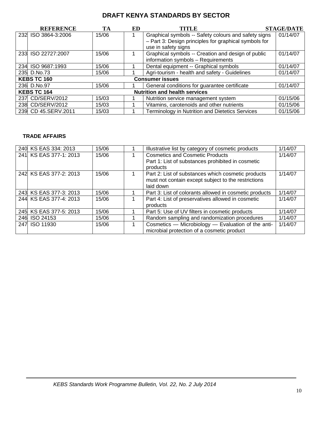|     | <b>REFERENCE</b>    | TА    | ED | TITLE                                                  | <b>STAGE/DATE</b> |
|-----|---------------------|-------|----|--------------------------------------------------------|-------------------|
|     | 232 ISO 3864-3:2006 | 15/06 |    | Graphical symbols -- Safety colours and safety signs   | 01/14/07          |
|     |                     |       |    | - Part 3: Design principles for graphical symbols for  |                   |
|     |                     |       |    | use in safety signs                                    |                   |
| 233 | ISO 22727:2007      | 15/06 |    | Graphical symbols -- Creation and design of public     | 01/14/07          |
|     |                     |       |    | information symbols - Requirements                     |                   |
|     | 234 ISO 9687:1993   | 15/06 |    | Dental equipment -- Graphical symbols                  | 01/14/07          |
|     | 235 D.No.73         | 15/06 |    | Agri-tourism - health and safety - Guidelines          | 01/14/07          |
|     | <b>KEBS TC 160</b>  |       |    | <b>Consumer issues</b>                                 |                   |
|     | 236 D.No.97         | 15/06 |    | General conditions for guarantee certificate           | 01/14/07          |
|     | <b>KEBS TC 164</b>  |       |    | <b>Nutrition and health services</b>                   |                   |
|     | 237 CD/SERV/2012    | 15/03 |    | Nutrition service management system                    | 01/15/06          |
|     | 238 CD/SERV/2012    | 15/03 |    | Vitamins, carotenoids and other nutrients              | 01/15/06          |
|     | 239 CD 45.SERV.2011 | 15/03 |    | <b>Terminology in Nutrition and Dietetics Services</b> | 01/15/06          |

#### **TRADE AFFAIRS**

| 240 KS EAS 334: 2013   | 15/06 | Illustrative list by category of cosmetic products     | 1/14/07 |
|------------------------|-------|--------------------------------------------------------|---------|
| 241 KS EAS 377-1: 2013 | 15/06 | <b>Cosmetics and Cosmetic Products</b>                 | 1/14/07 |
|                        |       | Part 1: List of substances prohibited in cosmetic      |         |
|                        |       | products                                               |         |
| 242 KS EAS 377-2: 2013 | 15/06 | Part 2: List of substances which cosmetic products     | 1/14/07 |
|                        |       | must not contain except subject to the restrictions    |         |
|                        |       | laid down                                              |         |
| 243 KS EAS 377-3: 2013 | 15/06 | Part 3: List of colorants allowed in cosmetic products | 1/14/07 |
| 244 KS EAS 377-4: 2013 | 15/06 | Part 4: List of preservatives allowed in cosmetic      | 1/14/07 |
|                        |       | products                                               |         |
| 245 KS EAS 377-5: 2013 | 15/06 | Part 5: Use of UV filters in cosmetic products         | 1/14/07 |
| 246 ISO 24153          | 15/06 | Random sampling and randomization procedures           | 1/14/07 |
| 247 ISO 11930          | 15/06 | Cosmetics - Microbiology - Evaluation of the anti-     | 1/14/07 |
|                        |       | microbial protection of a cosmetic product             |         |